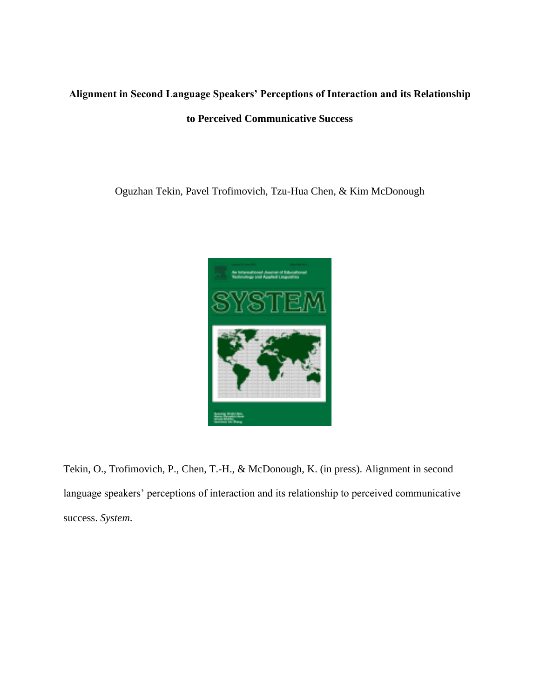# **Alignment in Second Language Speakers' Perceptions of Interaction and its Relationship**

## **to Perceived Communicative Success**

Oguzhan Tekin, Pavel Trofimovich, Tzu-Hua Chen, & Kim McDonough



Tekin, O., Trofimovich, P., Chen, T.-H., & McDonough, K. (in press). Alignment in second language speakers' perceptions of interaction and its relationship to perceived communicative success. *System*.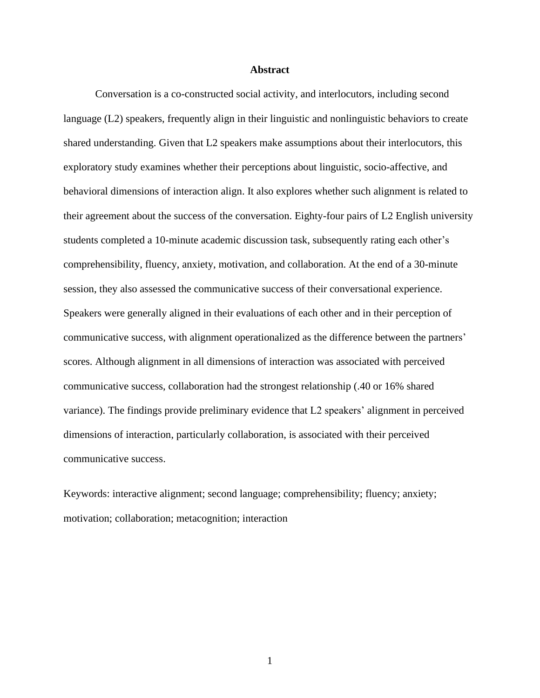#### **Abstract**

Conversation is a co-constructed social activity, and interlocutors, including second language (L2) speakers, frequently align in their linguistic and nonlinguistic behaviors to create shared understanding. Given that L2 speakers make assumptions about their interlocutors, this exploratory study examines whether their perceptions about linguistic, socio-affective, and behavioral dimensions of interaction align. It also explores whether such alignment is related to their agreement about the success of the conversation. Eighty-four pairs of L2 English university students completed a 10-minute academic discussion task, subsequently rating each other's comprehensibility, fluency, anxiety, motivation, and collaboration. At the end of a 30-minute session, they also assessed the communicative success of their conversational experience. Speakers were generally aligned in their evaluations of each other and in their perception of communicative success, with alignment operationalized as the difference between the partners' scores. Although alignment in all dimensions of interaction was associated with perceived communicative success, collaboration had the strongest relationship (.40 or 16% shared variance). The findings provide preliminary evidence that L2 speakers' alignment in perceived dimensions of interaction, particularly collaboration, is associated with their perceived communicative success.

Keywords: interactive alignment; second language; comprehensibility; fluency; anxiety; motivation; collaboration; metacognition; interaction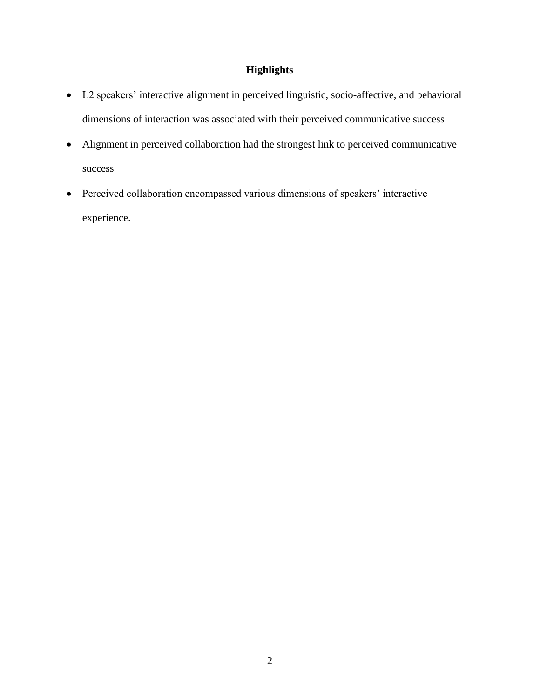## **Highlights**

- L2 speakers' interactive alignment in perceived linguistic, socio-affective, and behavioral dimensions of interaction was associated with their perceived communicative success
- Alignment in perceived collaboration had the strongest link to perceived communicative success
- Perceived collaboration encompassed various dimensions of speakers' interactive experience.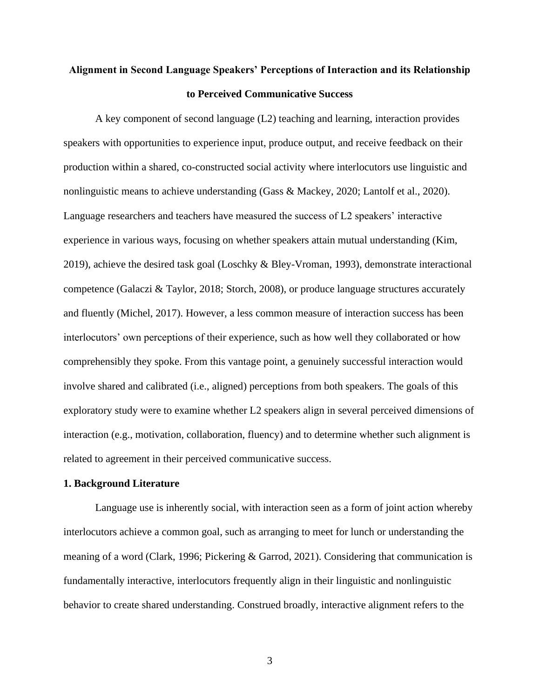## **Alignment in Second Language Speakers' Perceptions of Interaction and its Relationship to Perceived Communicative Success**

A key component of second language (L2) teaching and learning, interaction provides speakers with opportunities to experience input, produce output, and receive feedback on their production within a shared, co-constructed social activity where interlocutors use linguistic and nonlinguistic means to achieve understanding (Gass & Mackey, 2020; Lantolf et al., 2020). Language researchers and teachers have measured the success of L2 speakers' interactive experience in various ways, focusing on whether speakers attain mutual understanding (Kim, 2019), achieve the desired task goal (Loschky & Bley-Vroman, 1993), demonstrate interactional competence (Galaczi & Taylor, 2018; Storch, 2008), or produce language structures accurately and fluently (Michel, 2017). However, a less common measure of interaction success has been interlocutors' own perceptions of their experience, such as how well they collaborated or how comprehensibly they spoke. From this vantage point, a genuinely successful interaction would involve shared and calibrated (i.e., aligned) perceptions from both speakers. The goals of this exploratory study were to examine whether L2 speakers align in several perceived dimensions of interaction (e.g., motivation, collaboration, fluency) and to determine whether such alignment is related to agreement in their perceived communicative success.

#### **1. Background Literature**

Language use is inherently social, with interaction seen as a form of joint action whereby interlocutors achieve a common goal, such as arranging to meet for lunch or understanding the meaning of a word (Clark, 1996; Pickering & Garrod, 2021). Considering that communication is fundamentally interactive, interlocutors frequently align in their linguistic and nonlinguistic behavior to create shared understanding. Construed broadly, interactive alignment refers to the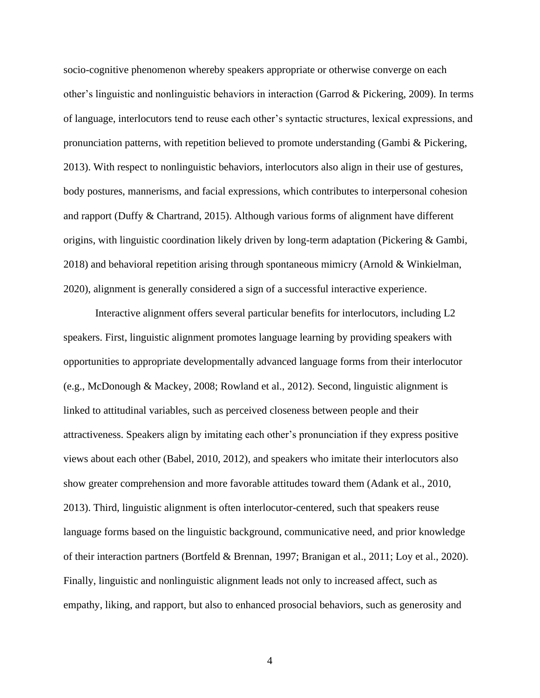socio-cognitive phenomenon whereby speakers appropriate or otherwise converge on each other's linguistic and nonlinguistic behaviors in interaction (Garrod & Pickering, 2009). In terms of language, interlocutors tend to reuse each other's syntactic structures, lexical expressions, and pronunciation patterns, with repetition believed to promote understanding (Gambi & Pickering, 2013). With respect to nonlinguistic behaviors, interlocutors also align in their use of gestures, body postures, mannerisms, and facial expressions, which contributes to interpersonal cohesion and rapport (Duffy & Chartrand, 2015). Although various forms of alignment have different origins, with linguistic coordination likely driven by long-term adaptation (Pickering & Gambi, 2018) and behavioral repetition arising through spontaneous mimicry (Arnold & Winkielman, 2020), alignment is generally considered a sign of a successful interactive experience.

Interactive alignment offers several particular benefits for interlocutors, including L2 speakers. First, linguistic alignment promotes language learning by providing speakers with opportunities to appropriate developmentally advanced language forms from their interlocutor (e.g., McDonough & Mackey, 2008; Rowland et al., 2012). Second, linguistic alignment is linked to attitudinal variables, such as perceived closeness between people and their attractiveness. Speakers align by imitating each other's pronunciation if they express positive views about each other (Babel, 2010, 2012), and speakers who imitate their interlocutors also show greater comprehension and more favorable attitudes toward them (Adank et al., 2010, 2013). Third, linguistic alignment is often interlocutor-centered, such that speakers reuse language forms based on the linguistic background, communicative need, and prior knowledge of their interaction partners (Bortfeld & Brennan, 1997; Branigan et al., 2011; Loy et al., 2020). Finally, linguistic and nonlinguistic alignment leads not only to increased affect, such as empathy, liking, and rapport, but also to enhanced prosocial behaviors, such as generosity and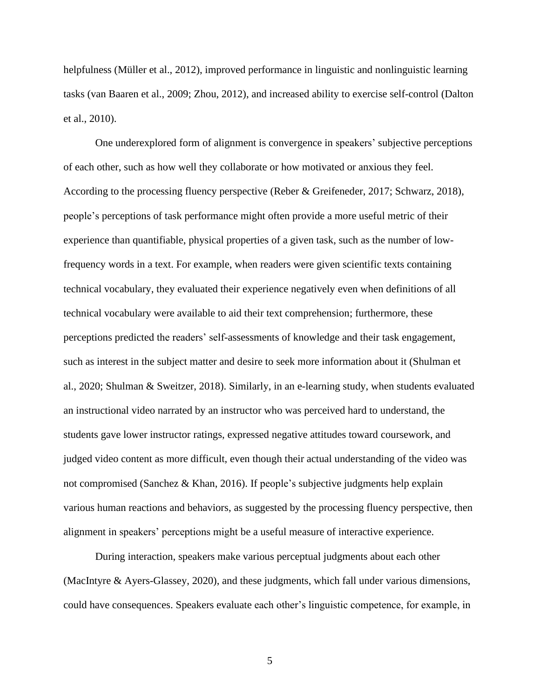helpfulness (Müller et al., 2012), improved performance in linguistic and nonlinguistic learning tasks (van Baaren et al., 2009; Zhou, 2012), and increased ability to exercise self-control (Dalton et al., 2010).

One underexplored form of alignment is convergence in speakers' subjective perceptions of each other, such as how well they collaborate or how motivated or anxious they feel. According to the processing fluency perspective (Reber & Greifeneder, 2017; Schwarz, 2018), people's perceptions of task performance might often provide a more useful metric of their experience than quantifiable, physical properties of a given task, such as the number of lowfrequency words in a text. For example, when readers were given scientific texts containing technical vocabulary, they evaluated their experience negatively even when definitions of all technical vocabulary were available to aid their text comprehension; furthermore, these perceptions predicted the readers' self-assessments of knowledge and their task engagement, such as interest in the subject matter and desire to seek more information about it (Shulman et al., 2020; Shulman & Sweitzer, 2018). Similarly, in an e-learning study, when students evaluated an instructional video narrated by an instructor who was perceived hard to understand, the students gave lower instructor ratings, expressed negative attitudes toward coursework, and judged video content as more difficult, even though their actual understanding of the video was not compromised (Sanchez & Khan, 2016). If people's subjective judgments help explain various human reactions and behaviors, as suggested by the processing fluency perspective, then alignment in speakers' perceptions might be a useful measure of interactive experience.

During interaction, speakers make various perceptual judgments about each other (MacIntyre & Ayers-Glassey, 2020), and these judgments, which fall under various dimensions, could have consequences. Speakers evaluate each other's linguistic competence, for example, in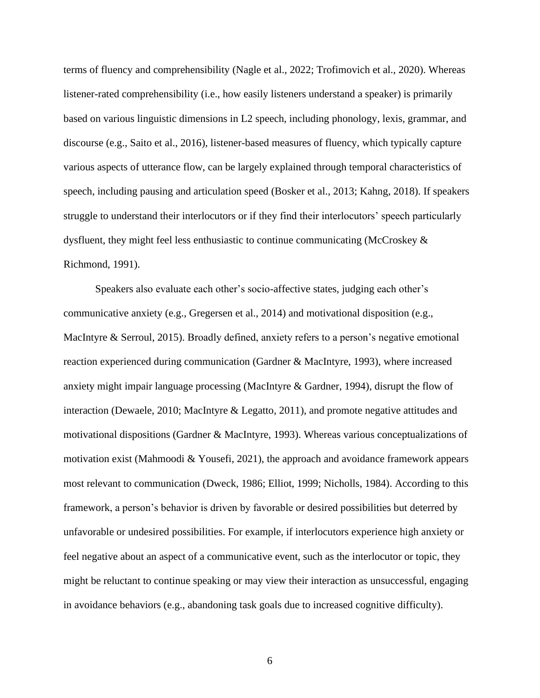terms of fluency and comprehensibility (Nagle et al., 2022; Trofimovich et al., 2020). Whereas listener-rated comprehensibility (i.e., how easily listeners understand a speaker) is primarily based on various linguistic dimensions in L2 speech, including phonology, lexis, grammar, and discourse (e.g., Saito et al., 2016), listener-based measures of fluency, which typically capture various aspects of utterance flow, can be largely explained through temporal characteristics of speech, including pausing and articulation speed (Bosker et al., 2013; Kahng, 2018). If speakers struggle to understand their interlocutors or if they find their interlocutors' speech particularly dysfluent, they might feel less enthusiastic to continue communicating (McCroskey & Richmond, 1991).

Speakers also evaluate each other's socio-affective states, judging each other's communicative anxiety (e.g., Gregersen et al., 2014) and motivational disposition (e.g., MacIntyre & Serroul, 2015). Broadly defined, anxiety refers to a person's negative emotional reaction experienced during communication (Gardner & MacIntyre, 1993), where increased anxiety might impair language processing (MacIntyre & Gardner, 1994), disrupt the flow of interaction (Dewaele, 2010; MacIntyre & Legatto, 2011), and promote negative attitudes and motivational dispositions (Gardner & MacIntyre, 1993). Whereas various conceptualizations of motivation exist (Mahmoodi & Yousefi, 2021), the approach and avoidance framework appears most relevant to communication (Dweck, 1986; Elliot, 1999; Nicholls, 1984). According to this framework, a person's behavior is driven by favorable or desired possibilities but deterred by unfavorable or undesired possibilities. For example, if interlocutors experience high anxiety or feel negative about an aspect of a communicative event, such as the interlocutor or topic, they might be reluctant to continue speaking or may view their interaction as unsuccessful, engaging in avoidance behaviors (e.g., abandoning task goals due to increased cognitive difficulty).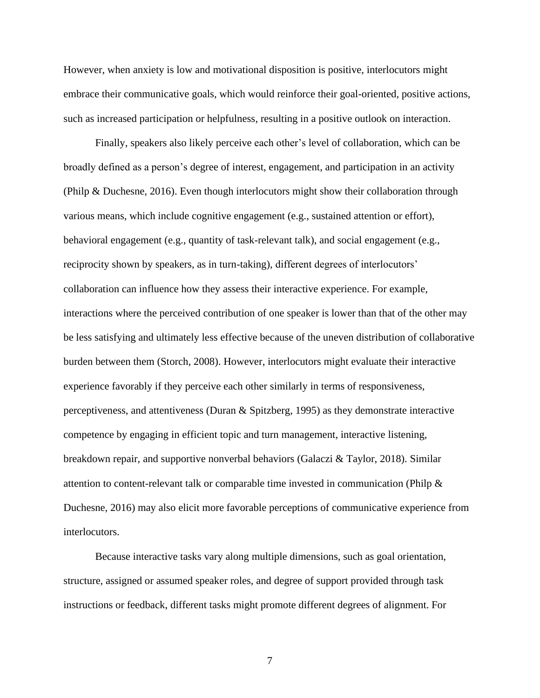However, when anxiety is low and motivational disposition is positive, interlocutors might embrace their communicative goals, which would reinforce their goal-oriented, positive actions, such as increased participation or helpfulness, resulting in a positive outlook on interaction.

Finally, speakers also likely perceive each other's level of collaboration, which can be broadly defined as a person's degree of interest, engagement, and participation in an activity (Philp & Duchesne, 2016). Even though interlocutors might show their collaboration through various means, which include cognitive engagement (e.g., sustained attention or effort), behavioral engagement (e.g., quantity of task-relevant talk), and social engagement (e.g., reciprocity shown by speakers, as in turn-taking), different degrees of interlocutors' collaboration can influence how they assess their interactive experience. For example, interactions where the perceived contribution of one speaker is lower than that of the other may be less satisfying and ultimately less effective because of the uneven distribution of collaborative burden between them (Storch, 2008). However, interlocutors might evaluate their interactive experience favorably if they perceive each other similarly in terms of responsiveness, perceptiveness, and attentiveness (Duran & Spitzberg, 1995) as they demonstrate interactive competence by engaging in efficient topic and turn management, interactive listening, breakdown repair, and supportive nonverbal behaviors (Galaczi & Taylor, 2018). Similar attention to content-relevant talk or comparable time invested in communication (Philp & Duchesne, 2016) may also elicit more favorable perceptions of communicative experience from interlocutors.

Because interactive tasks vary along multiple dimensions, such as goal orientation, structure, assigned or assumed speaker roles, and degree of support provided through task instructions or feedback, different tasks might promote different degrees of alignment. For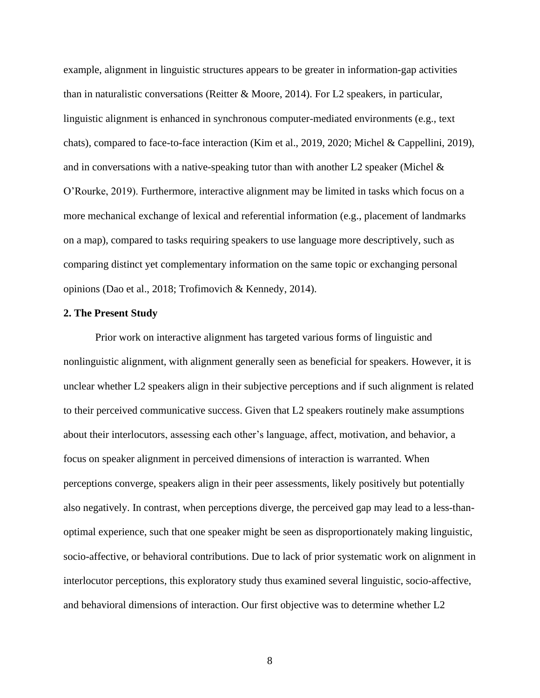example, alignment in linguistic structures appears to be greater in information-gap activities than in naturalistic conversations (Reitter & Moore, 2014). For L2 speakers, in particular, linguistic alignment is enhanced in synchronous computer-mediated environments (e.g., text chats), compared to face-to-face interaction (Kim et al., 2019, 2020; Michel & Cappellini, 2019), and in conversations with a native-speaking tutor than with another L2 speaker (Michel  $\&$ O'Rourke, 2019). Furthermore, interactive alignment may be limited in tasks which focus on a more mechanical exchange of lexical and referential information (e.g., placement of landmarks on a map), compared to tasks requiring speakers to use language more descriptively, such as comparing distinct yet complementary information on the same topic or exchanging personal opinions (Dao et al., 2018; Trofimovich & Kennedy, 2014).

### **2. The Present Study**

Prior work on interactive alignment has targeted various forms of linguistic and nonlinguistic alignment, with alignment generally seen as beneficial for speakers. However, it is unclear whether L2 speakers align in their subjective perceptions and if such alignment is related to their perceived communicative success. Given that L2 speakers routinely make assumptions about their interlocutors, assessing each other's language, affect, motivation, and behavior, a focus on speaker alignment in perceived dimensions of interaction is warranted. When perceptions converge, speakers align in their peer assessments, likely positively but potentially also negatively. In contrast, when perceptions diverge, the perceived gap may lead to a less-thanoptimal experience, such that one speaker might be seen as disproportionately making linguistic, socio-affective, or behavioral contributions. Due to lack of prior systematic work on alignment in interlocutor perceptions, this exploratory study thus examined several linguistic, socio-affective, and behavioral dimensions of interaction. Our first objective was to determine whether L2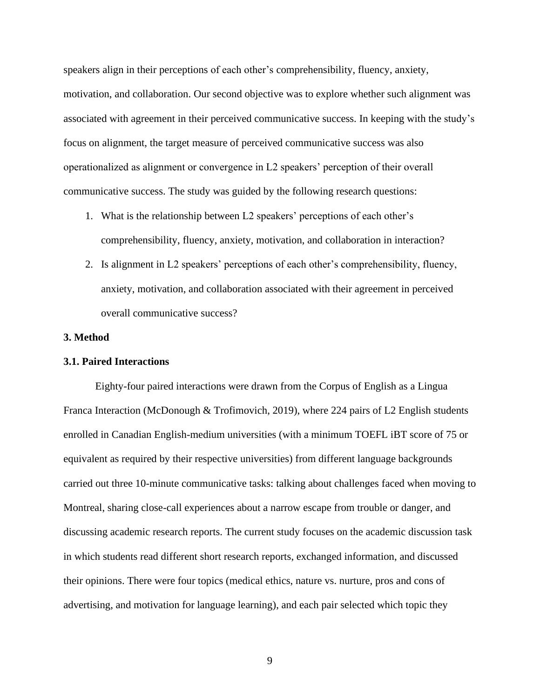speakers align in their perceptions of each other's comprehensibility, fluency, anxiety, motivation, and collaboration. Our second objective was to explore whether such alignment was associated with agreement in their perceived communicative success. In keeping with the study's focus on alignment, the target measure of perceived communicative success was also operationalized as alignment or convergence in L2 speakers' perception of their overall communicative success. The study was guided by the following research questions:

- 1. What is the relationship between L2 speakers' perceptions of each other's comprehensibility, fluency, anxiety, motivation, and collaboration in interaction?
- 2. Is alignment in L2 speakers' perceptions of each other's comprehensibility, fluency, anxiety, motivation, and collaboration associated with their agreement in perceived overall communicative success?

#### **3. Method**

#### **3.1. Paired Interactions**

Eighty-four paired interactions were drawn from the Corpus of English as a Lingua Franca Interaction (McDonough & Trofimovich, 2019), where 224 pairs of L2 English students enrolled in Canadian English-medium universities (with a minimum TOEFL iBT score of 75 or equivalent as required by their respective universities) from different language backgrounds carried out three 10-minute communicative tasks: talking about challenges faced when moving to Montreal, sharing close-call experiences about a narrow escape from trouble or danger, and discussing academic research reports. The current study focuses on the academic discussion task in which students read different short research reports, exchanged information, and discussed their opinions. There were four topics (medical ethics, nature vs. nurture, pros and cons of advertising, and motivation for language learning), and each pair selected which topic they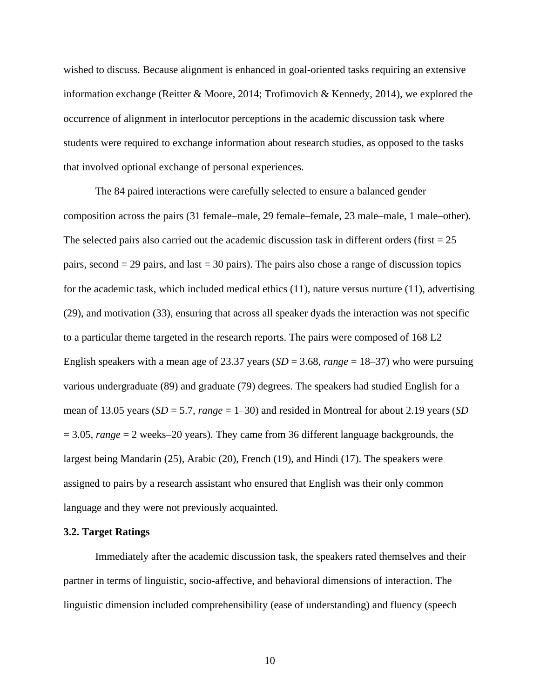wished to discuss. Because alignment is enhanced in goal-oriented tasks requiring an extensive information exchange (Reitter & Moore, 2014; Trofimovich & Kennedy, 2014), we explored the occurrence of alignment in interlocutor perceptions in the academic discussion task where students were required to exchange information about research studies, as opposed to the tasks that involved optional exchange of personal experiences.

The 84 paired interactions were carefully selected to ensure a balanced gender composition across the pairs (31 female–male, 29 female–female, 23 male–male, 1 male–other). The selected pairs also carried out the academic discussion task in different orders (first  $= 25$ ) pairs, second  $= 29$  pairs, and last  $= 30$  pairs). The pairs also chose a range of discussion topics for the academic task, which included medical ethics (11), nature versus nurture (11), advertising (29), and motivation (33), ensuring that across all speaker dyads the interaction was not specific to a particular theme targeted in the research reports. The pairs were composed of 168 L2 English speakers with a mean age of 23.37 years (*SD* = 3.68, *range* = 18–37) who were pursuing various undergraduate (89) and graduate (79) degrees. The speakers had studied English for a mean of 13.05 years (*SD* = 5.7, *range* = 1–30) and resided in Montreal for about 2.19 years (*SD*  = 3.05, *range* = 2 weeks–20 years). They came from 36 different language backgrounds, the largest being Mandarin (25), Arabic (20), French (19), and Hindi (17). The speakers were assigned to pairs by a research assistant who ensured that English was their only common language and they were not previously acquainted.

#### **3.2. Target Ratings**

Immediately after the academic discussion task, the speakers rated themselves and their partner in terms of linguistic, socio-affective, and behavioral dimensions of interaction. The linguistic dimension included comprehensibility (ease of understanding) and fluency (speech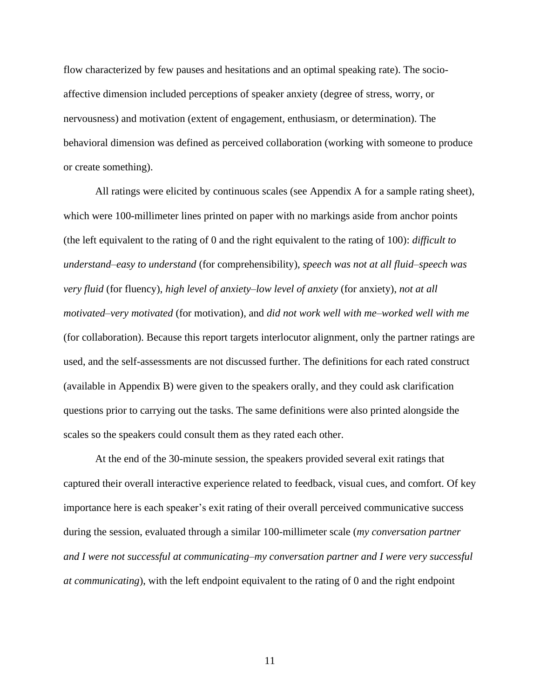flow characterized by few pauses and hesitations and an optimal speaking rate). The socioaffective dimension included perceptions of speaker anxiety (degree of stress, worry, or nervousness) and motivation (extent of engagement, enthusiasm, or determination). The behavioral dimension was defined as perceived collaboration (working with someone to produce or create something).

All ratings were elicited by continuous scales (see Appendix A for a sample rating sheet), which were 100-millimeter lines printed on paper with no markings aside from anchor points (the left equivalent to the rating of 0 and the right equivalent to the rating of 100): *difficult to understand*–*easy to understand* (for comprehensibility), *speech was not at all fluid*–*speech was very fluid* (for fluency), *high level of anxiety*–*low level of anxiety* (for anxiety), *not at all motivated–very motivated* (for motivation), and *did not work well with me*–*worked well with me*  (for collaboration). Because this report targets interlocutor alignment, only the partner ratings are used, and the self-assessments are not discussed further. The definitions for each rated construct (available in Appendix B) were given to the speakers orally, and they could ask clarification questions prior to carrying out the tasks. The same definitions were also printed alongside the scales so the speakers could consult them as they rated each other.

At the end of the 30-minute session, the speakers provided several exit ratings that captured their overall interactive experience related to feedback, visual cues, and comfort. Of key importance here is each speaker's exit rating of their overall perceived communicative success during the session, evaluated through a similar 100-millimeter scale (*my conversation partner and I were not successful at communicating–my conversation partner and I were very successful at communicating*), with the left endpoint equivalent to the rating of 0 and the right endpoint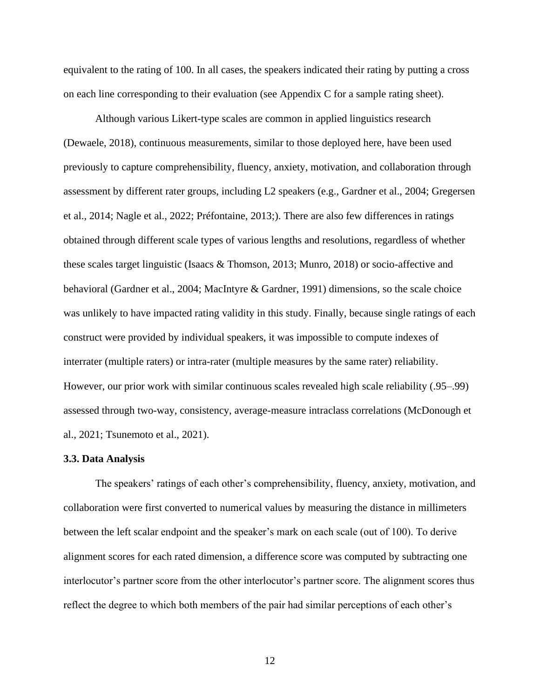equivalent to the rating of 100. In all cases, the speakers indicated their rating by putting a cross on each line corresponding to their evaluation (see Appendix C for a sample rating sheet).

Although various Likert-type scales are common in applied linguistics research (Dewaele, 2018), continuous measurements, similar to those deployed here, have been used previously to capture comprehensibility, fluency, anxiety, motivation, and collaboration through assessment by different rater groups, including L2 speakers (e.g., Gardner et al., 2004; Gregersen et al., 2014; Nagle et al., 2022; Préfontaine, 2013;). There are also few differences in ratings obtained through different scale types of various lengths and resolutions, regardless of whether these scales target linguistic (Isaacs & Thomson, 2013; Munro, 2018) or socio-affective and behavioral (Gardner et al., 2004; MacIntyre & Gardner, 1991) dimensions, so the scale choice was unlikely to have impacted rating validity in this study. Finally, because single ratings of each construct were provided by individual speakers, it was impossible to compute indexes of interrater (multiple raters) or intra-rater (multiple measures by the same rater) reliability. However, our prior work with similar continuous scales revealed high scale reliability (.95–.99) assessed through two-way, consistency, average-measure intraclass correlations (McDonough et al., 2021; Tsunemoto et al., 2021).

#### **3.3. Data Analysis**

The speakers' ratings of each other's comprehensibility, fluency, anxiety, motivation, and collaboration were first converted to numerical values by measuring the distance in millimeters between the left scalar endpoint and the speaker's mark on each scale (out of 100). To derive alignment scores for each rated dimension, a difference score was computed by subtracting one interlocutor's partner score from the other interlocutor's partner score. The alignment scores thus reflect the degree to which both members of the pair had similar perceptions of each other's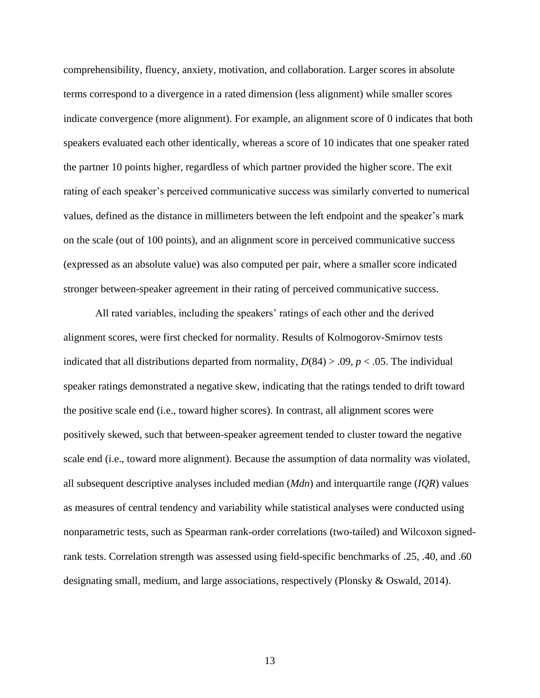comprehensibility, fluency, anxiety, motivation, and collaboration. Larger scores in absolute terms correspond to a divergence in a rated dimension (less alignment) while smaller scores indicate convergence (more alignment). For example, an alignment score of 0 indicates that both speakers evaluated each other identically, whereas a score of 10 indicates that one speaker rated the partner 10 points higher, regardless of which partner provided the higher score. The exit rating of each speaker's perceived communicative success was similarly converted to numerical values, defined as the distance in millimeters between the left endpoint and the speaker's mark on the scale (out of 100 points), and an alignment score in perceived communicative success (expressed as an absolute value) was also computed per pair, where a smaller score indicated stronger between-speaker agreement in their rating of perceived communicative success.

All rated variables, including the speakers' ratings of each other and the derived alignment scores, were first checked for normality. Results of Kolmogorov-Smirnov tests indicated that all distributions departed from normality,  $D(84) > .09$ ,  $p < .05$ . The individual speaker ratings demonstrated a negative skew, indicating that the ratings tended to drift toward the positive scale end (i.e., toward higher scores). In contrast, all alignment scores were positively skewed, such that between-speaker agreement tended to cluster toward the negative scale end (i.e., toward more alignment). Because the assumption of data normality was violated, all subsequent descriptive analyses included median (*Mdn*) and interquartile range (*IQR*) values as measures of central tendency and variability while statistical analyses were conducted using nonparametric tests, such as Spearman rank-order correlations (two-tailed) and Wilcoxon signedrank tests. Correlation strength was assessed using field-specific benchmarks of .25, .40, and .60 designating small, medium, and large associations, respectively (Plonsky & Oswald, 2014).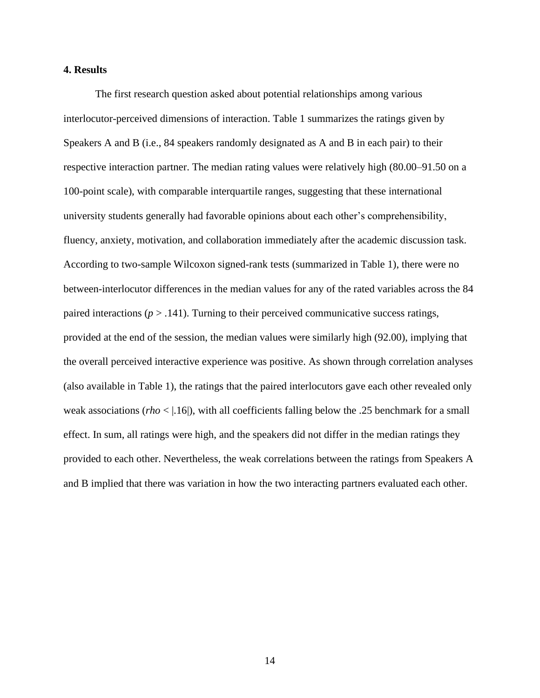### **4. Results**

The first research question asked about potential relationships among various interlocutor-perceived dimensions of interaction. Table 1 summarizes the ratings given by Speakers A and B (i.e., 84 speakers randomly designated as A and B in each pair) to their respective interaction partner. The median rating values were relatively high (80.00–91.50 on a 100-point scale), with comparable interquartile ranges, suggesting that these international university students generally had favorable opinions about each other's comprehensibility, fluency, anxiety, motivation, and collaboration immediately after the academic discussion task. According to two-sample Wilcoxon signed-rank tests (summarized in Table 1), there were no between-interlocutor differences in the median values for any of the rated variables across the 84 paired interactions ( $p > .141$ ). Turning to their perceived communicative success ratings, provided at the end of the session, the median values were similarly high (92.00), implying that the overall perceived interactive experience was positive. As shown through correlation analyses (also available in Table 1), the ratings that the paired interlocutors gave each other revealed only weak associations (*rho* < | 16|), with all coefficients falling below the .25 benchmark for a small effect. In sum, all ratings were high, and the speakers did not differ in the median ratings they provided to each other. Nevertheless, the weak correlations between the ratings from Speakers A and B implied that there was variation in how the two interacting partners evaluated each other.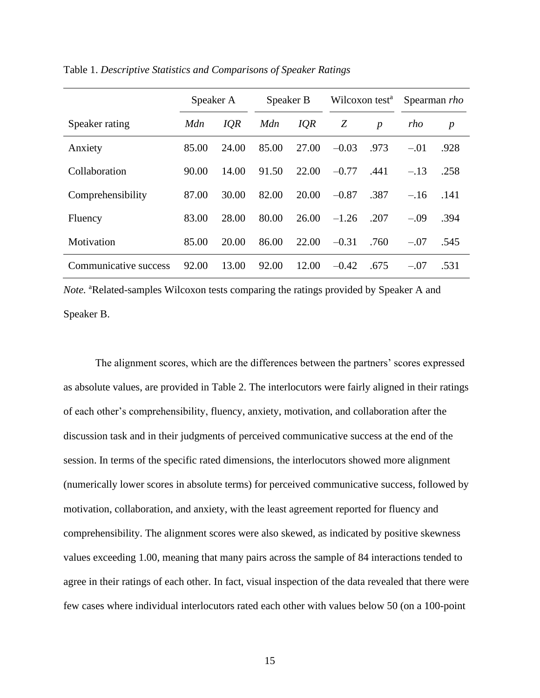|                       | Speaker A   |            | Speaker B |            | Wilcoxon test <sup>a</sup> |                  | Spearman <i>rho</i> |                  |
|-----------------------|-------------|------------|-----------|------------|----------------------------|------------------|---------------------|------------------|
| Speaker rating        | <b>M</b> dn | <b>IQR</b> | Mdn       | <b>IQR</b> | Z                          | $\boldsymbol{p}$ | rho                 | $\boldsymbol{p}$ |
| Anxiety               | 85.00       | 24.00      | 85.00     | 27.00      | $-0.03$                    | .973             | $-.01$              | .928             |
| Collaboration         | 90.00       | 14.00      | 91.50     | 22.00      | $-0.77$                    | .441             | $-.13$              | .258             |
| Comprehensibility     | 87.00       | 30.00      | 82.00     | 20.00      | $-0.87$                    | .387             | $-.16$              | .141             |
| Fluency               | 83.00       | 28.00      | 80.00     | 26.00      | $-1.26$                    | .207             | $-.09$              | .394             |
| Motivation            | 85.00       | 20.00      | 86.00     | 22.00      | $-0.31$                    | .760             | $-.07$              | .545             |
| Communicative success | 92.00       | 13.00      | 92.00     | 12.00      | $-0.42$                    | .675             | $-.07$              | .531             |

Table 1. *Descriptive Statistics and Comparisons of Speaker Ratings*

*Note.* <sup>a</sup>Related-samples Wilcoxon tests comparing the ratings provided by Speaker A and Speaker B.

The alignment scores, which are the differences between the partners' scores expressed as absolute values, are provided in Table 2. The interlocutors were fairly aligned in their ratings of each other's comprehensibility, fluency, anxiety, motivation, and collaboration after the discussion task and in their judgments of perceived communicative success at the end of the session. In terms of the specific rated dimensions, the interlocutors showed more alignment (numerically lower scores in absolute terms) for perceived communicative success, followed by motivation, collaboration, and anxiety, with the least agreement reported for fluency and comprehensibility. The alignment scores were also skewed, as indicated by positive skewness values exceeding 1.00, meaning that many pairs across the sample of 84 interactions tended to agree in their ratings of each other. In fact, visual inspection of the data revealed that there were few cases where individual interlocutors rated each other with values below 50 (on a 100-point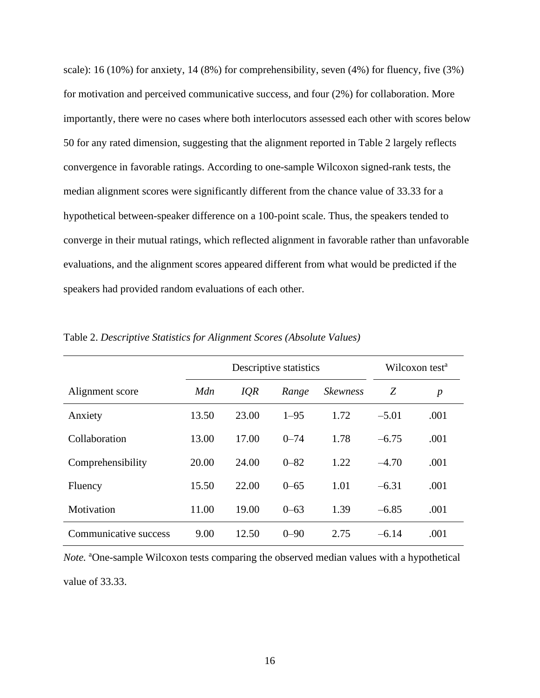scale): 16 (10%) for anxiety, 14 (8%) for comprehensibility, seven (4%) for fluency, five (3%) for motivation and perceived communicative success, and four (2%) for collaboration. More importantly, there were no cases where both interlocutors assessed each other with scores below 50 for any rated dimension, suggesting that the alignment reported in Table 2 largely reflects convergence in favorable ratings. According to one-sample Wilcoxon signed-rank tests, the median alignment scores were significantly different from the chance value of 33.33 for a hypothetical between-speaker difference on a 100-point scale. Thus, the speakers tended to converge in their mutual ratings, which reflected alignment in favorable rather than unfavorable evaluations, and the alignment scores appeared different from what would be predicted if the speakers had provided random evaluations of each other.

|                       |       | Descriptive statistics |          |                 |         | Wilcoxon test <sup>a</sup> |
|-----------------------|-------|------------------------|----------|-----------------|---------|----------------------------|
| Alignment score       | Mdn   | IQR                    | Range    | <b>Skewness</b> | Z       | $\boldsymbol{p}$           |
| Anxiety               | 13.50 | 23.00                  | $1 - 95$ | 1.72            | $-5.01$ | .001                       |
| Collaboration         | 13.00 | 17.00                  | $0 - 74$ | 1.78            | $-6.75$ | .001                       |
| Comprehensibility     | 20.00 | 24.00                  | $0 - 82$ | 1.22            | $-4.70$ | .001                       |
| Fluency               | 15.50 | 22.00                  | $0 - 65$ | 1.01            | $-6.31$ | .001                       |
| Motivation            | 11.00 | 19.00                  | $0 - 63$ | 1.39            | $-6.85$ | .001                       |
| Communicative success | 9.00  | 12.50                  | $0 - 90$ | 2.75            | $-6.14$ | .001                       |

Table 2. *Descriptive Statistics for Alignment Scores (Absolute Values)*

*Note*. <sup>a</sup>One-sample Wilcoxon tests comparing the observed median values with a hypothetical value of 33.33.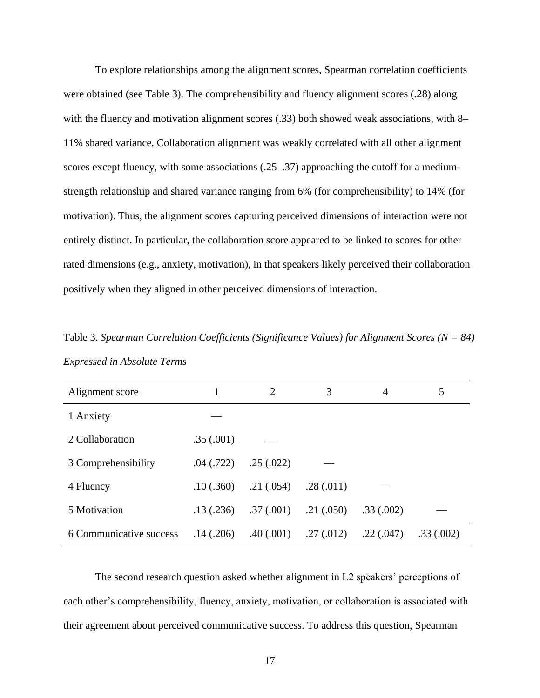To explore relationships among the alignment scores, Spearman correlation coefficients were obtained (see Table 3). The comprehensibility and fluency alignment scores (.28) along with the fluency and motivation alignment scores (.33) both showed weak associations, with 8– 11% shared variance. Collaboration alignment was weakly correlated with all other alignment scores except fluency, with some associations (.25–.37) approaching the cutoff for a mediumstrength relationship and shared variance ranging from 6% (for comprehensibility) to 14% (for motivation). Thus, the alignment scores capturing perceived dimensions of interaction were not entirely distinct. In particular, the collaboration score appeared to be linked to scores for other rated dimensions (e.g., anxiety, motivation), in that speakers likely perceived their collaboration positively when they aligned in other perceived dimensions of interaction.

Table 3. *Spearman Correlation Coefficients (Significance Values) for Alignment Scores (N = 84) Expressed in Absolute Terms*

| Alignment score         |           | $\overline{2}$ | 3         | 4         | 5         |
|-------------------------|-----------|----------------|-----------|-----------|-----------|
| 1 Anxiety               |           |                |           |           |           |
| 2 Collaboration         | .35(.001) |                |           |           |           |
| 3 Comprehensibility     | .04(.722) | .25(.022)      |           |           |           |
| 4 Fluency               | .10(.360) | .21(.054)      | .28(.011) |           |           |
| 5 Motivation            | .13(.236) | .37(.001)      | .21(.050) | .33(.002) |           |
| 6 Communicative success | .14(.206) | .40(.001)      | .27(.012) | .22(.047) | .33(.002) |

The second research question asked whether alignment in L2 speakers' perceptions of each other's comprehensibility, fluency, anxiety, motivation, or collaboration is associated with their agreement about perceived communicative success. To address this question, Spearman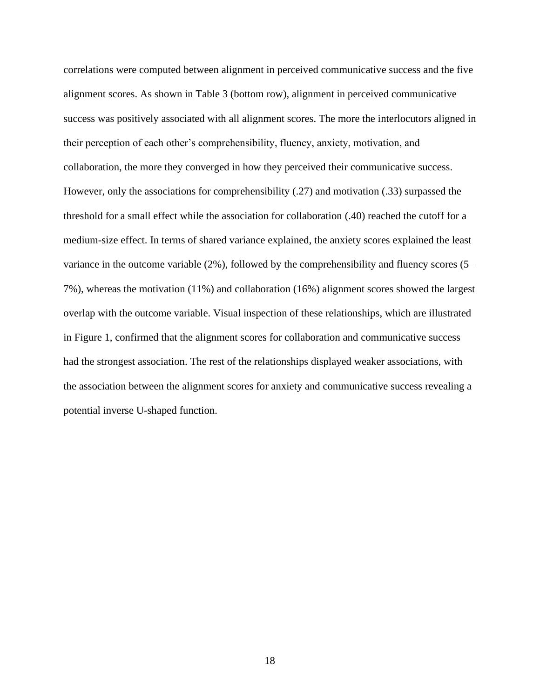correlations were computed between alignment in perceived communicative success and the five alignment scores. As shown in Table 3 (bottom row), alignment in perceived communicative success was positively associated with all alignment scores. The more the interlocutors aligned in their perception of each other's comprehensibility, fluency, anxiety, motivation, and collaboration, the more they converged in how they perceived their communicative success. However, only the associations for comprehensibility (.27) and motivation (.33) surpassed the threshold for a small effect while the association for collaboration (.40) reached the cutoff for a medium-size effect. In terms of shared variance explained, the anxiety scores explained the least variance in the outcome variable (2%), followed by the comprehensibility and fluency scores (5– 7%), whereas the motivation (11%) and collaboration (16%) alignment scores showed the largest overlap with the outcome variable. Visual inspection of these relationships, which are illustrated in Figure 1, confirmed that the alignment scores for collaboration and communicative success had the strongest association. The rest of the relationships displayed weaker associations, with the association between the alignment scores for anxiety and communicative success revealing a potential inverse U-shaped function.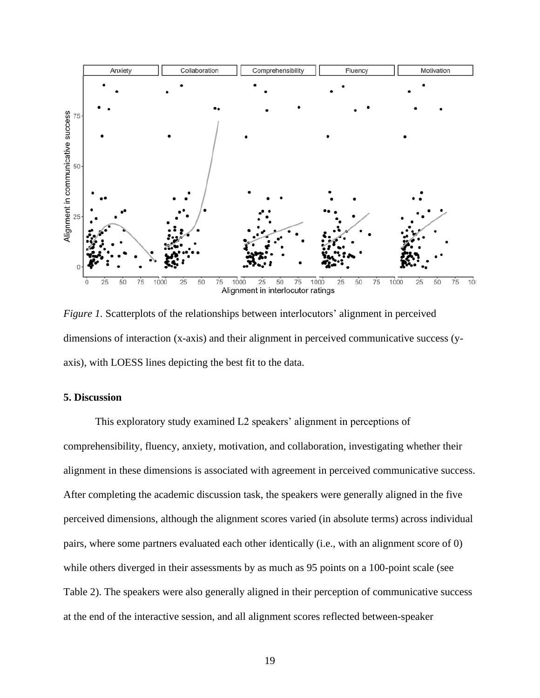

*Figure 1.* Scatterplots of the relationships between interlocutors' alignment in perceived dimensions of interaction (x-axis) and their alignment in perceived communicative success (yaxis), with LOESS lines depicting the best fit to the data.

### **5. Discussion**

This exploratory study examined L2 speakers' alignment in perceptions of comprehensibility, fluency, anxiety, motivation, and collaboration, investigating whether their alignment in these dimensions is associated with agreement in perceived communicative success. After completing the academic discussion task, the speakers were generally aligned in the five perceived dimensions, although the alignment scores varied (in absolute terms) across individual pairs, where some partners evaluated each other identically (i.e., with an alignment score of 0) while others diverged in their assessments by as much as 95 points on a 100-point scale (see Table 2). The speakers were also generally aligned in their perception of communicative success at the end of the interactive session, and all alignment scores reflected between-speaker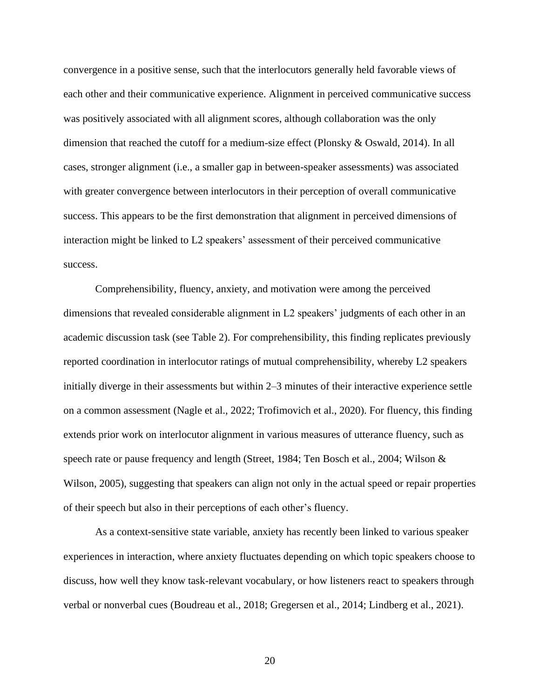convergence in a positive sense, such that the interlocutors generally held favorable views of each other and their communicative experience. Alignment in perceived communicative success was positively associated with all alignment scores, although collaboration was the only dimension that reached the cutoff for a medium-size effect (Plonsky & Oswald, 2014). In all cases, stronger alignment (i.e., a smaller gap in between-speaker assessments) was associated with greater convergence between interlocutors in their perception of overall communicative success. This appears to be the first demonstration that alignment in perceived dimensions of interaction might be linked to L2 speakers' assessment of their perceived communicative success.

Comprehensibility, fluency, anxiety, and motivation were among the perceived dimensions that revealed considerable alignment in L2 speakers' judgments of each other in an academic discussion task (see Table 2). For comprehensibility, this finding replicates previously reported coordination in interlocutor ratings of mutual comprehensibility, whereby L2 speakers initially diverge in their assessments but within 2–3 minutes of their interactive experience settle on a common assessment (Nagle et al., 2022; Trofimovich et al., 2020). For fluency, this finding extends prior work on interlocutor alignment in various measures of utterance fluency, such as speech rate or pause frequency and length (Street, 1984; Ten Bosch et al., 2004; Wilson & Wilson, 2005), suggesting that speakers can align not only in the actual speed or repair properties of their speech but also in their perceptions of each other's fluency.

As a context-sensitive state variable, anxiety has recently been linked to various speaker experiences in interaction, where anxiety fluctuates depending on which topic speakers choose to discuss, how well they know task-relevant vocabulary, or how listeners react to speakers through verbal or nonverbal cues (Boudreau et al., 2018; Gregersen et al., 2014; Lindberg et al., 2021).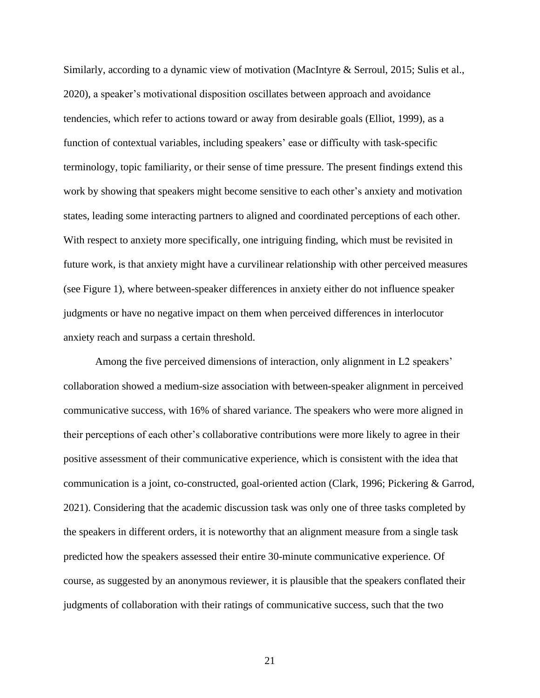Similarly, according to a dynamic view of motivation (MacIntyre & Serroul, 2015; Sulis et al., 2020), a speaker's motivational disposition oscillates between approach and avoidance tendencies, which refer to actions toward or away from desirable goals (Elliot, 1999), as a function of contextual variables, including speakers' ease or difficulty with task-specific terminology, topic familiarity, or their sense of time pressure. The present findings extend this work by showing that speakers might become sensitive to each other's anxiety and motivation states, leading some interacting partners to aligned and coordinated perceptions of each other. With respect to anxiety more specifically, one intriguing finding, which must be revisited in future work, is that anxiety might have a curvilinear relationship with other perceived measures (see Figure 1), where between-speaker differences in anxiety either do not influence speaker judgments or have no negative impact on them when perceived differences in interlocutor anxiety reach and surpass a certain threshold.

Among the five perceived dimensions of interaction, only alignment in L2 speakers' collaboration showed a medium-size association with between-speaker alignment in perceived communicative success, with 16% of shared variance. The speakers who were more aligned in their perceptions of each other's collaborative contributions were more likely to agree in their positive assessment of their communicative experience, which is consistent with the idea that communication is a joint, co-constructed, goal-oriented action (Clark, 1996; Pickering & Garrod, 2021). Considering that the academic discussion task was only one of three tasks completed by the speakers in different orders, it is noteworthy that an alignment measure from a single task predicted how the speakers assessed their entire 30-minute communicative experience. Of course, as suggested by an anonymous reviewer, it is plausible that the speakers conflated their judgments of collaboration with their ratings of communicative success, such that the two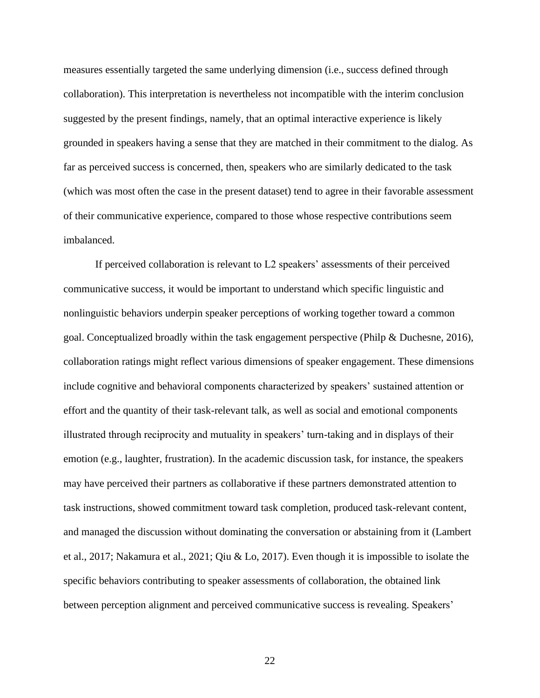measures essentially targeted the same underlying dimension (i.e., success defined through collaboration). This interpretation is nevertheless not incompatible with the interim conclusion suggested by the present findings, namely, that an optimal interactive experience is likely grounded in speakers having a sense that they are matched in their commitment to the dialog. As far as perceived success is concerned, then, speakers who are similarly dedicated to the task (which was most often the case in the present dataset) tend to agree in their favorable assessment of their communicative experience, compared to those whose respective contributions seem imbalanced.

If perceived collaboration is relevant to L2 speakers' assessments of their perceived communicative success, it would be important to understand which specific linguistic and nonlinguistic behaviors underpin speaker perceptions of working together toward a common goal. Conceptualized broadly within the task engagement perspective (Philp & Duchesne, 2016), collaboration ratings might reflect various dimensions of speaker engagement. These dimensions include cognitive and behavioral components characterized by speakers' sustained attention or effort and the quantity of their task-relevant talk, as well as social and emotional components illustrated through reciprocity and mutuality in speakers' turn-taking and in displays of their emotion (e.g., laughter, frustration). In the academic discussion task, for instance, the speakers may have perceived their partners as collaborative if these partners demonstrated attention to task instructions, showed commitment toward task completion, produced task-relevant content, and managed the discussion without dominating the conversation or abstaining from it (Lambert et al., 2017; Nakamura et al., 2021; Qiu & Lo, 2017). Even though it is impossible to isolate the specific behaviors contributing to speaker assessments of collaboration, the obtained link between perception alignment and perceived communicative success is revealing. Speakers'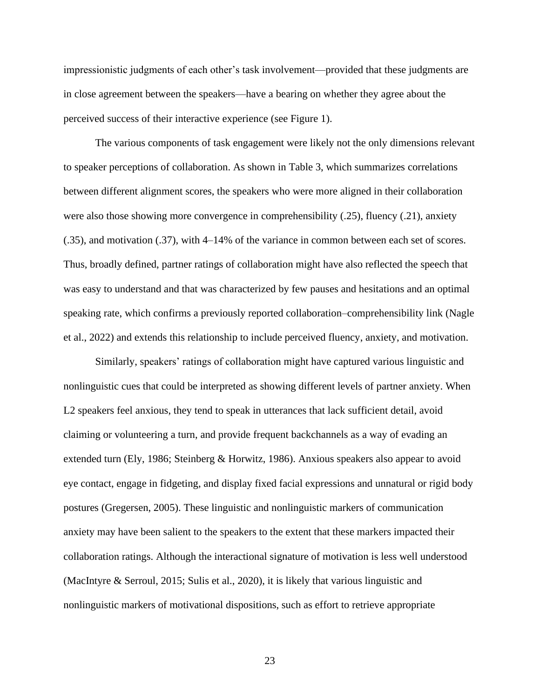impressionistic judgments of each other's task involvement—provided that these judgments are in close agreement between the speakers—have a bearing on whether they agree about the perceived success of their interactive experience (see Figure 1).

The various components of task engagement were likely not the only dimensions relevant to speaker perceptions of collaboration. As shown in Table 3, which summarizes correlations between different alignment scores, the speakers who were more aligned in their collaboration were also those showing more convergence in comprehensibility (.25), fluency (.21), anxiety (.35), and motivation (.37), with 4–14% of the variance in common between each set of scores. Thus, broadly defined, partner ratings of collaboration might have also reflected the speech that was easy to understand and that was characterized by few pauses and hesitations and an optimal speaking rate, which confirms a previously reported collaboration–comprehensibility link (Nagle et al., 2022) and extends this relationship to include perceived fluency, anxiety, and motivation.

Similarly, speakers' ratings of collaboration might have captured various linguistic and nonlinguistic cues that could be interpreted as showing different levels of partner anxiety. When L2 speakers feel anxious, they tend to speak in utterances that lack sufficient detail, avoid claiming or volunteering a turn, and provide frequent backchannels as a way of evading an extended turn (Ely, 1986; Steinberg & Horwitz, 1986). Anxious speakers also appear to avoid eye contact, engage in fidgeting, and display fixed facial expressions and unnatural or rigid body postures (Gregersen, 2005). These linguistic and nonlinguistic markers of communication anxiety may have been salient to the speakers to the extent that these markers impacted their collaboration ratings. Although the interactional signature of motivation is less well understood (MacIntyre & Serroul, 2015; Sulis et al., 2020), it is likely that various linguistic and nonlinguistic markers of motivational dispositions, such as effort to retrieve appropriate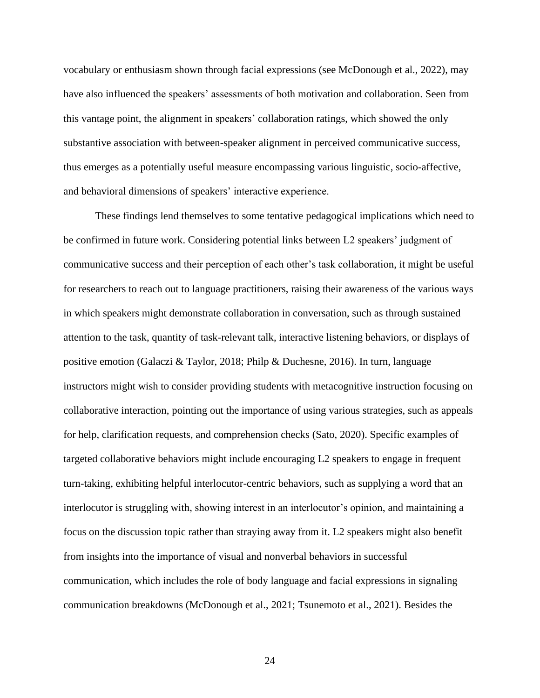vocabulary or enthusiasm shown through facial expressions (see McDonough et al., 2022), may have also influenced the speakers' assessments of both motivation and collaboration. Seen from this vantage point, the alignment in speakers' collaboration ratings, which showed the only substantive association with between-speaker alignment in perceived communicative success, thus emerges as a potentially useful measure encompassing various linguistic, socio-affective, and behavioral dimensions of speakers' interactive experience.

These findings lend themselves to some tentative pedagogical implications which need to be confirmed in future work. Considering potential links between L2 speakers' judgment of communicative success and their perception of each other's task collaboration, it might be useful for researchers to reach out to language practitioners, raising their awareness of the various ways in which speakers might demonstrate collaboration in conversation, such as through sustained attention to the task, quantity of task-relevant talk, interactive listening behaviors, or displays of positive emotion (Galaczi & Taylor, 2018; Philp & Duchesne, 2016). In turn, language instructors might wish to consider providing students with metacognitive instruction focusing on collaborative interaction, pointing out the importance of using various strategies, such as appeals for help, clarification requests, and comprehension checks (Sato, 2020). Specific examples of targeted collaborative behaviors might include encouraging L2 speakers to engage in frequent turn-taking, exhibiting helpful interlocutor-centric behaviors, such as supplying a word that an interlocutor is struggling with, showing interest in an interlocutor's opinion, and maintaining a focus on the discussion topic rather than straying away from it. L2 speakers might also benefit from insights into the importance of visual and nonverbal behaviors in successful communication, which includes the role of body language and facial expressions in signaling communication breakdowns (McDonough et al., 2021; Tsunemoto et al., 2021). Besides the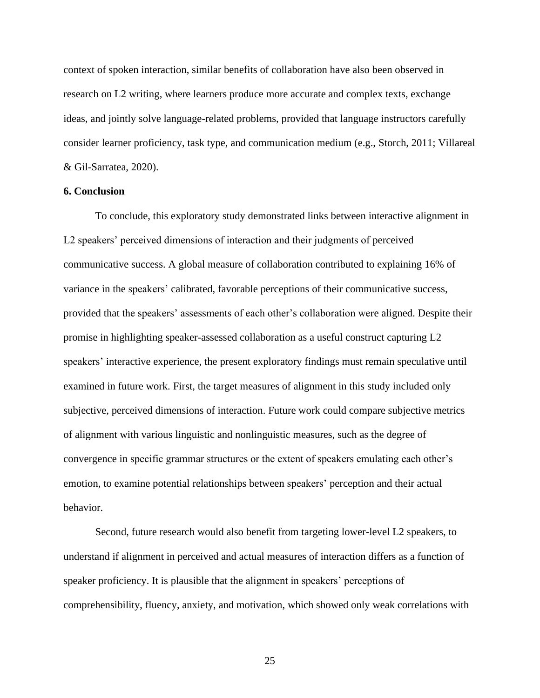context of spoken interaction, similar benefits of collaboration have also been observed in research on L2 writing, where learners produce more accurate and complex texts, exchange ideas, and jointly solve language-related problems, provided that language instructors carefully consider learner proficiency, task type, and communication medium (e.g., Storch, 2011; Villareal & Gil-Sarratea, 2020).

### **6. Conclusion**

To conclude, this exploratory study demonstrated links between interactive alignment in L2 speakers' perceived dimensions of interaction and their judgments of perceived communicative success. A global measure of collaboration contributed to explaining 16% of variance in the speakers' calibrated, favorable perceptions of their communicative success, provided that the speakers' assessments of each other's collaboration were aligned. Despite their promise in highlighting speaker-assessed collaboration as a useful construct capturing L2 speakers' interactive experience, the present exploratory findings must remain speculative until examined in future work. First, the target measures of alignment in this study included only subjective, perceived dimensions of interaction. Future work could compare subjective metrics of alignment with various linguistic and nonlinguistic measures, such as the degree of convergence in specific grammar structures or the extent of speakers emulating each other's emotion, to examine potential relationships between speakers' perception and their actual behavior.

Second, future research would also benefit from targeting lower-level L2 speakers, to understand if alignment in perceived and actual measures of interaction differs as a function of speaker proficiency. It is plausible that the alignment in speakers' perceptions of comprehensibility, fluency, anxiety, and motivation, which showed only weak correlations with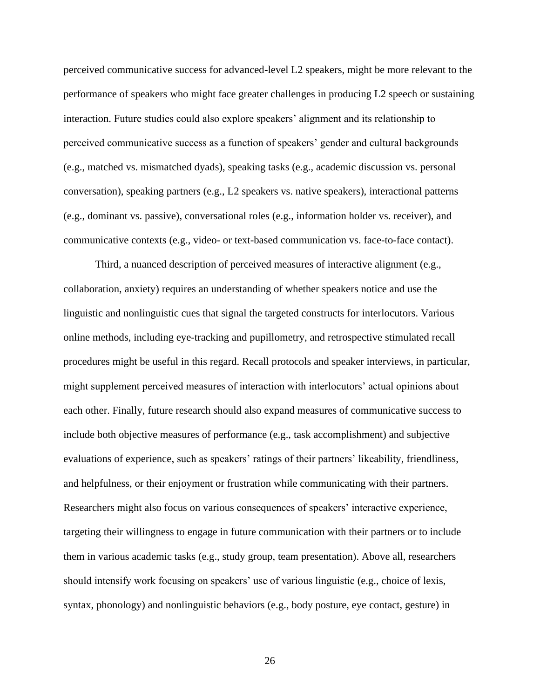perceived communicative success for advanced-level L2 speakers, might be more relevant to the performance of speakers who might face greater challenges in producing L2 speech or sustaining interaction. Future studies could also explore speakers' alignment and its relationship to perceived communicative success as a function of speakers' gender and cultural backgrounds (e.g., matched vs. mismatched dyads), speaking tasks (e.g., academic discussion vs. personal conversation), speaking partners (e.g., L2 speakers vs. native speakers), interactional patterns (e.g., dominant vs. passive), conversational roles (e.g., information holder vs. receiver), and communicative contexts (e.g., video- or text-based communication vs. face-to-face contact).

Third, a nuanced description of perceived measures of interactive alignment (e.g., collaboration, anxiety) requires an understanding of whether speakers notice and use the linguistic and nonlinguistic cues that signal the targeted constructs for interlocutors. Various online methods, including eye-tracking and pupillometry, and retrospective stimulated recall procedures might be useful in this regard. Recall protocols and speaker interviews, in particular, might supplement perceived measures of interaction with interlocutors' actual opinions about each other. Finally, future research should also expand measures of communicative success to include both objective measures of performance (e.g., task accomplishment) and subjective evaluations of experience, such as speakers' ratings of their partners' likeability, friendliness, and helpfulness, or their enjoyment or frustration while communicating with their partners. Researchers might also focus on various consequences of speakers' interactive experience, targeting their willingness to engage in future communication with their partners or to include them in various academic tasks (e.g., study group, team presentation). Above all, researchers should intensify work focusing on speakers' use of various linguistic (e.g., choice of lexis, syntax, phonology) and nonlinguistic behaviors (e.g., body posture, eye contact, gesture) in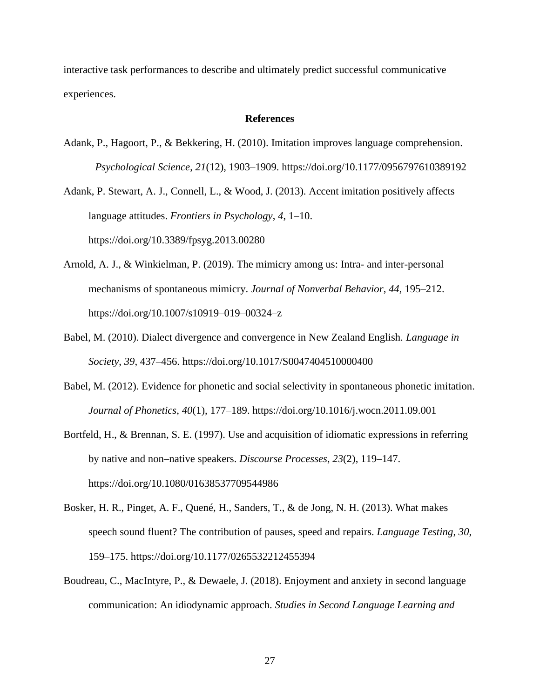interactive task performances to describe and ultimately predict successful communicative experiences.

#### **References**

Adank, P., Hagoort, P., & Bekkering, H. (2010). Imitation improves language comprehension. *Psychological Science*, *21*(12), 1903–1909. https://doi.org/10.1177/0956797610389192

Adank, P. Stewart, A. J., Connell, L., & Wood, J. (2013). Accent imitation positively affects language attitudes. *Frontiers in Psychology*, *4*, 1–10. https://doi.org/10.3389/fpsyg.2013.00280

- Arnold, A. J., & Winkielman, P. (2019). The mimicry among us: Intra- and inter-personal mechanisms of spontaneous mimicry. *Journal of Nonverbal Behavior*, *44*, 195–212. https://doi.org/10.1007/s10919–019–00324–z
- Babel, M. (2010). Dialect divergence and convergence in New Zealand English. *Language in Society*, *39*, 437–456. https://doi.org/10.1017/S0047404510000400
- Babel, M. (2012). Evidence for phonetic and social selectivity in spontaneous phonetic imitation. *Journal of Phonetics*, *40*(1), 177–189. https://doi.org/10.1016/j.wocn.2011.09.001
- Bortfeld, H., & Brennan, S. E. (1997). Use and acquisition of idiomatic expressions in referring by native and non–native speakers. *Discourse Processes*, *23*(2), 119–147. https://doi.org/10.1080/01638537709544986
- Bosker, H. R., Pinget, A. F., Quené, H., Sanders, T., & de Jong, N. H. (2013). What makes speech sound fluent? The contribution of pauses, speed and repairs. *Language Testing*, *30*, 159–175. https://doi.org/10.1177/0265532212455394
- Boudreau, C., MacIntyre, P., & Dewaele, J. (2018). Enjoyment and anxiety in second language communication: An idiodynamic approach. *Studies in Second Language Learning and*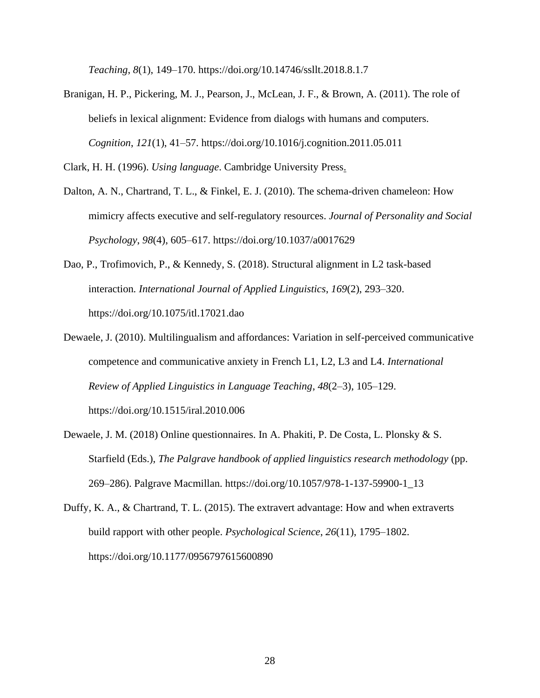*Teaching*, *8*(1), 149–170. https://doi.org/10.14746/ssllt.2018.8.1.7

Branigan, H. P., Pickering, M. J., Pearson, J., McLean, J. F., & Brown, A. (2011). The role of beliefs in lexical alignment: Evidence from dialogs with humans and computers. *Cognition*, *121*(1), 41–57. https://doi.org/10.1016/j.cognition.2011.05.011

Clark, H. H. (1996). *Using language*. Cambridge University Press.

- Dalton, A. N., Chartrand, T. L., & Finkel, E. J. (2010). The schema-driven chameleon: How mimicry affects executive and self-regulatory resources. *Journal of Personality and Social Psychology*, *98*(4), 605–617. https://doi.org/10.1037/a0017629
- Dao, P., Trofimovich, P., & Kennedy, S. (2018). Structural alignment in L2 task-based interaction*. International Journal of Applied Linguistics*, *169*(2), 293–320. https://doi.org/10.1075/itl.17021.dao
- Dewaele, J. (2010). Multilingualism and affordances: Variation in self-perceived communicative competence and communicative anxiety in French L1, L2, L3 and L4. *International Review of Applied Linguistics in Language Teaching*, *48*(2–3), 105–129. https://doi.org/10.1515/iral.2010.006
- Dewaele, J. M. (2018) Online questionnaires. In A. Phakiti, P. De Costa, L. Plonsky & S. Starfield (Eds.), *The Palgrave handbook of applied linguistics research methodology* (pp. 269–286). Palgrave Macmillan. https://doi.org/10.1057/978-1-137-59900-1\_13
- Duffy, K. A., & Chartrand, T. L. (2015). The extravert advantage: How and when extraverts build rapport with other people. *Psychological Science*, *26*(11), 1795–1802. https://doi.org/10.1177/0956797615600890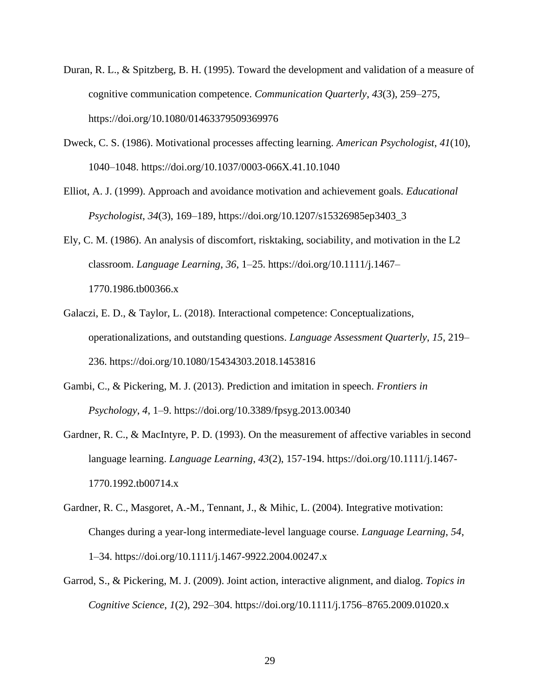- Duran, R. L., & Spitzberg, B. H. (1995). Toward the development and validation of a measure of cognitive communication competence. *Communication Quarterly*, *43*(3), 259–275, https://doi.org/10.1080/01463379509369976
- Dweck, C. S. (1986). Motivational processes affecting learning. *American Psychologist*, *41*(10), 1040–1048. https://doi.org/10.1037/0003-066X.41.10.1040
- Elliot, A. J. (1999). Approach and avoidance motivation and achievement goals. *Educational Psychologist*, *34*(3), 169–189, https://doi.org/10.1207/s15326985ep3403\_3
- Ely, C. M. (1986). An analysis of discomfort, risktaking, sociability, and motivation in the L2 classroom. *Language Learning*, *36*, 1–25. https://doi.org/10.1111/j.1467– 1770.1986.tb00366.x
- Galaczi, E. D., & Taylor, L. (2018). Interactional competence: Conceptualizations, operationalizations, and outstanding questions. *Language Assessment Quarterly*, *15*, 219– 236. https://doi.org/10.1080/15434303.2018.1453816
- Gambi, C., & Pickering, M. J. (2013). Prediction and imitation in speech. *Frontiers in Psychology*, *4*, 1–9. https://doi.org/10.3389/fpsyg.2013.00340
- Gardner, R. C., & MacIntyre, P. D. (1993). On the measurement of affective variables in second language learning. *Language Learning*, *43*(2), 157-194. https://doi.org/10.1111/j.1467- 1770.1992.tb00714.x
- Gardner, R. C., Masgoret, A.-M., Tennant, J., & Mihic, L. (2004). Integrative motivation: Changes during a year-long intermediate-level language course. *Language Learning*, *54*, 1–34. https://doi.org/10.1111/j.1467-9922.2004.00247.x
- Garrod, S., & Pickering, M. J. (2009). Joint action, interactive alignment, and dialog. *Topics in Cognitive Science*, *1*(2), 292–304. https://doi.org/10.1111/j.1756–8765.2009.01020.x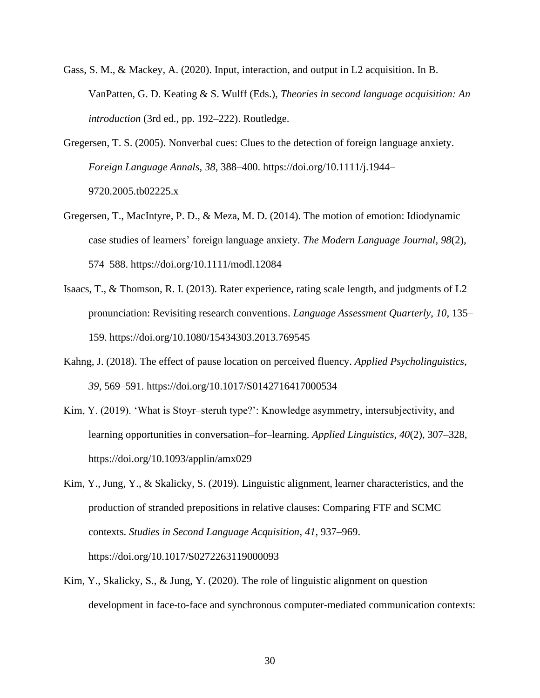- Gass, S. M., & Mackey, A. (2020). Input, interaction, and output in L2 acquisition. In B. VanPatten, G. D. Keating & S. Wulff (Eds.), *Theories in second language acquisition: An introduction* (3rd ed., pp. 192–222). Routledge.
- Gregersen, T. S. (2005). Nonverbal cues: Clues to the detection of foreign language anxiety. *Foreign Language Annals*, *38*, 388–400. https://doi.org/10.1111/j.1944– 9720.2005.tb02225.x
- Gregersen, T., MacIntyre, P. D., & Meza, M. D. (2014). The motion of emotion: Idiodynamic case studies of learners' foreign language anxiety. *The Modern Language Journal*, *98*(2), 574–588. https://doi.org/10.1111/modl.12084
- Isaacs, T., & Thomson, R. I. (2013). Rater experience, rating scale length, and judgments of L2 pronunciation: Revisiting research conventions. *Language Assessment Quarterly*, *10*, 135– 159. https://doi.org/10.1080/15434303.2013.769545
- Kahng, J. (2018). The effect of pause location on perceived fluency. *Applied Psycholinguistics*, *39*, 569–591. https://doi.org/10.1017/S0142716417000534
- Kim, Y. (2019). 'What is Stoyr–steruh type?': Knowledge asymmetry, intersubjectivity, and learning opportunities in conversation–for–learning. *Applied Linguistics*, *40*(2), 307–328, https://doi.org/10.1093/applin/amx029
- Kim, Y., Jung, Y., & Skalicky, S. (2019). Linguistic alignment, learner characteristics, and the production of stranded prepositions in relative clauses: Comparing FTF and SCMC contexts. *Studies in Second Language Acquisition*, *41*, 937–969. https://doi.org/10.1017/S0272263119000093
- Kim, Y., Skalicky, S., & Jung, Y. (2020). The role of linguistic alignment on question development in face-to-face and synchronous computer-mediated communication contexts: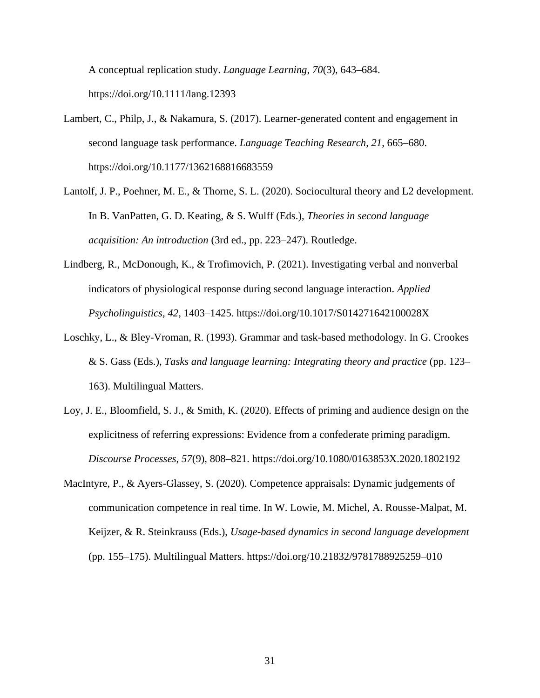A conceptual replication study. *Language Learning*, *70*(3), 643–684. <https://doi.org/10.1111/lang.12393>

- Lambert, C., Philp, J., & Nakamura, S. (2017). Learner-generated content and engagement in second language task performance. *Language Teaching Research*, *21*, 665–680. <https://doi.org/10.1177/1362168816683559>
- Lantolf, J. P., Poehner, M. E., & Thorne, S. L. (2020). Sociocultural theory and L2 development. In B. VanPatten, G. D. Keating, & S. Wulff (Eds.), *Theories in second language acquisition: An introduction* (3rd ed., pp. 223–247). Routledge.
- Lindberg, R., McDonough, K., & Trofimovich, P. (2021). Investigating verbal and nonverbal indicators of physiological response during second language interaction. *Applied Psycholinguistics*, *42*, 1403–1425. https://doi.org/10.1017/S014271642100028X
- Loschky, L., & Bley-Vroman, R. (1993). Grammar and task-based methodology. In G. Crookes & S. Gass (Eds.), *Tasks and language learning: Integrating theory and practice* (pp. 123– 163). Multilingual Matters.
- Loy, J. E., Bloomfield, S. J., & Smith, K. (2020). Effects of priming and audience design on the explicitness of referring expressions: Evidence from a confederate priming paradigm. *Discourse Processes*, *57*(9), 808–821. https://doi.org/10.1080/0163853X.2020.1802192
- MacIntyre, P., & Ayers-Glassey, S. (2020). Competence appraisals: Dynamic judgements of communication competence in real time. In W. Lowie, M. Michel, A. Rousse-Malpat, M. Keijzer, & R. Steinkrauss (Eds.), *Usage-based dynamics in second language development*  (pp. 155–175). Multilingual Matters. https://doi.org/10.21832/9781788925259–010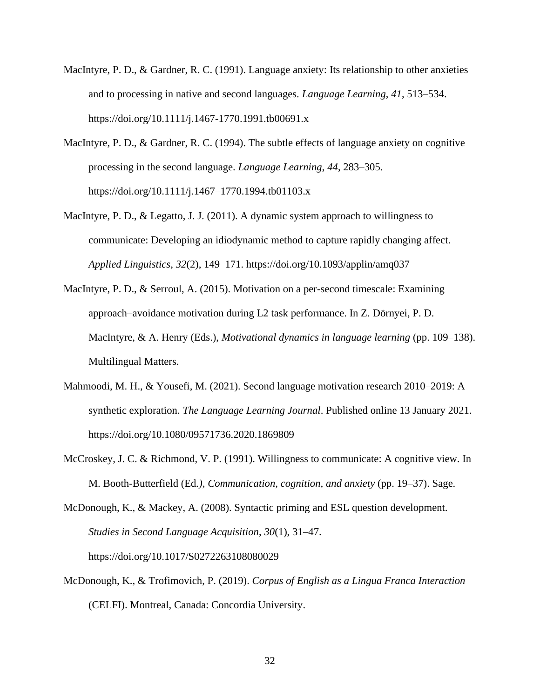- MacIntyre, P. D., & Gardner, R. C. (1991). Language anxiety: Its relationship to other anxieties and to processing in native and second languages. *Language Learning*, *41*, 513–534. https://doi.org/10.1111/j.1467-1770.1991.tb00691.x
- MacIntyre, P. D., & Gardner, R. C. (1994). The subtle effects of language anxiety on cognitive processing in the second language. *Language Learning*, *44*, 283–305. https://doi.org/10.1111/j.1467–1770.1994.tb01103.x
- MacIntyre, P. D., & Legatto, J. J. (2011). A dynamic system approach to willingness to communicate: Developing an idiodynamic method to capture rapidly changing affect. *Applied Linguistics*, *32*(2), 149–171. https://doi.org/10.1093/applin/amq037
- MacIntyre, P. D., & Serroul, A. (2015). Motivation on a per-second timescale: Examining approach–avoidance motivation during L2 task performance. In Z. Dörnyei, P. D. MacIntyre, & A. Henry (Eds.), *Motivational dynamics in language learning* (pp. 109–138). Multilingual Matters.
- Mahmoodi, M. H., & Yousefi, M. (2021). Second language motivation research 2010–2019: A synthetic exploration. *The Language Learning Journal*. Published online 13 January 2021. https://doi.org/10.1080/09571736.2020.1869809
- McCroskey, J. C. & Richmond, V. P. (1991). Willingness to communicate: A cognitive view. In M. Booth-Butterfield (Ed*.), Communication, cognition, and anxiety* (pp. 19–37). Sage.

McDonough, K., & Mackey, A. (2008). Syntactic priming and ESL question development. *Studies in Second Language Acquisition*, *30*(1), 31–47. https://doi.org/10.1017/S0272263108080029

McDonough, K., & Trofimovich, P. (2019). *Corpus of English as a Lingua Franca Interaction* (CELFI). Montreal, Canada: Concordia University.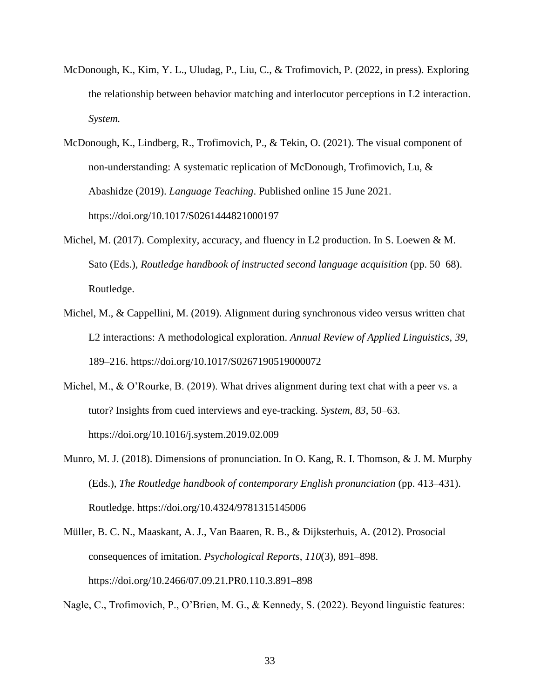- McDonough, K., Kim, Y. L., Uludag, P., Liu, C., & Trofimovich, P. (2022, in press). Exploring the relationship between behavior matching and interlocutor perceptions in L2 interaction. *System.*
- McDonough, K., Lindberg, R., Trofimovich, P., & Tekin, O. (2021). The visual component of non-understanding: A systematic replication of McDonough, Trofimovich, Lu, & Abashidze (2019). *Language Teaching*. Published online 15 June 2021. https://doi.org/10.1017/S0261444821000197
- Michel, M. (2017). Complexity, accuracy, and fluency in L2 production. In S. Loewen & M. Sato (Eds.), *Routledge handbook of instructed second language acquisition* (pp. 50–68). Routledge.
- Michel, M., & Cappellini, M. (2019). Alignment during synchronous video versus written chat L2 interactions: A methodological exploration. *Annual Review of Applied Linguistics*, *39*, 189–216. https://doi.org/10.1017/S0267190519000072
- Michel, M., & O'Rourke, B. (2019). What drives alignment during text chat with a peer vs. a tutor? Insights from cued interviews and eye-tracking. *System*, *83*, 50–63. https://doi.org/10.1016/j.system.2019.02.009
- Munro, M. J. (2018). Dimensions of pronunciation. In O. Kang, R. I. Thomson, & J. M. Murphy (Eds.), *The Routledge handbook of contemporary English pronunciation* (pp. 413–431). Routledge. https://doi.org/10.4324/9781315145006
- Müller, B. C. N., Maaskant, A. J., Van Baaren, R. B., & Dijksterhuis, A. (2012). Prosocial consequences of imitation. *Psychological Reports*, *110*(3), 891–898. https://doi.org/10.2466/07.09.21.PR0.110.3.891–898

Nagle, C., Trofimovich, P., O'Brien, M. G., & Kennedy, S. (2022). Beyond linguistic features: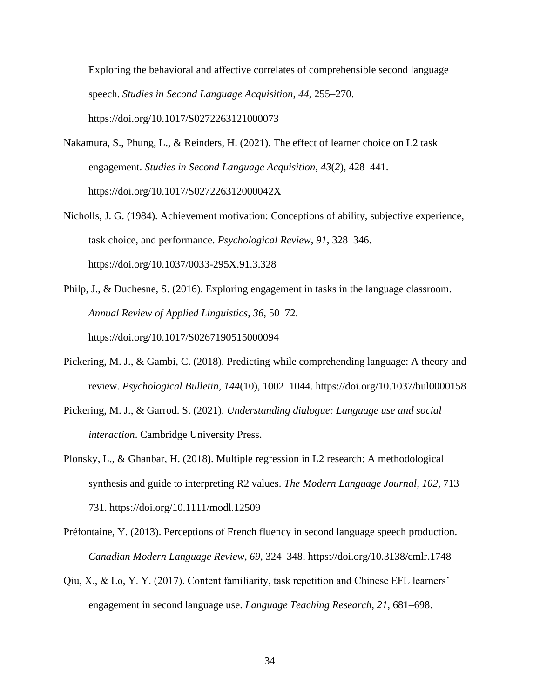Exploring the behavioral and affective correlates of comprehensible second language speech. *Studies in Second Language Acquisition*, *44*, 255–270. https://doi.org/10.1017/S0272263121000073

- Nakamura, S., Phung, L., & Reinders, H. (2021). The effect of learner choice on L2 task engagement. *Studies in Second Language Acquisition*, *43*(*2*), 428–441. https://doi.org/10.1017/S027226312000042X
- Nicholls, J. G. (1984). Achievement motivation: Conceptions of ability, subjective experience, task choice, and performance. *Psychological Review*, *91*, 328–346. https://doi.org/10.1037/0033-295X.91.3.328
- Philp, J., & Duchesne, S. (2016). Exploring engagement in tasks in the language classroom. *Annual Review of Applied Linguistics*, *36*, 50–72. https://doi.org/10.1017/S0267190515000094
- Pickering, M. J., & Gambi, C. (2018). Predicting while comprehending language: A theory and review. *Psychological Bulletin*, *144*(10), 1002–1044. https://doi.org/10.1037/bul0000158
- Pickering, M. J., & Garrod. S. (2021). *Understanding dialogue: Language use and social interaction*. Cambridge University Press.
- Plonsky, L., & Ghanbar, H. (2018). Multiple regression in L2 research: A methodological synthesis and guide to interpreting R2 values. *The Modern Language Journal*, *102*, 713– 731. https://doi.org/10.1111/modl.12509

Préfontaine, Y. (2013). Perceptions of French fluency in second language speech production. *Canadian Modern Language Review*, *69*, 324–348. https://doi.org/10.3138/cmlr.1748

Qiu, X., & Lo, Y. Y. (2017). Content familiarity, task repetition and Chinese EFL learners' engagement in second language use. *Language Teaching Research*, *21*, 681–698.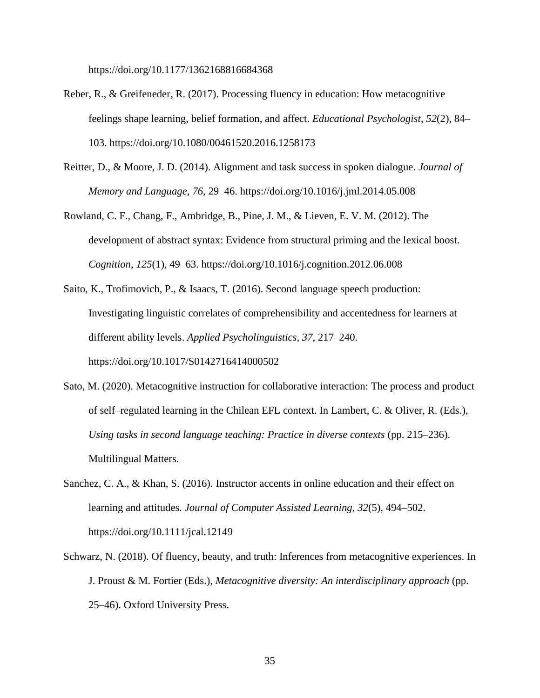https://doi.org/10.1177/1362168816684368

- Reber, R., & Greifeneder, R. (2017). Processing fluency in education: How metacognitive feelings shape learning, belief formation, and affect. *Educational Psychologist*, *52*(2), 84– 103. https://doi.org/10.1080/00461520.2016.1258173
- Reitter, D., & Moore, J. D. (2014). Alignment and task success in spoken dialogue. *Journal of Memory and Language*, *76*, 29–46. https://doi.org/10.1016/j.jml.2014.05.008
- Rowland, C. F., Chang, F., Ambridge, B., Pine, J. M., & Lieven, E. V. M. (2012). The development of abstract syntax: Evidence from structural priming and the lexical boost. *Cognition*, *125*(1), 49–63. https://doi.org/10.1016/j.cognition.2012.06.008
- Saito, K., Trofimovich, P., & Isaacs, T. (2016). Second language speech production: Investigating linguistic correlates of comprehensibility and accentedness for learners at different ability levels. *Applied Psycholinguistics*, *37*, 217*–*240. https://doi.org/10.1017/S0142716414000502
- Sato, M. (2020). Metacognitive instruction for collaborative interaction: The process and product of self–regulated learning in the Chilean EFL context. In Lambert, C. & Oliver, R. (Eds.), *Using tasks in second language teaching: Practice in diverse contexts* (pp. 215–236). Multilingual Matters.
- Sanchez, C. A., & Khan, S. (2016). Instructor accents in online education and their effect on learning and attitudes. *Journal of Computer Assisted Learning*, *32*(5), 494–502. https://doi.org/10.1111/jcal.12149
- Schwarz, N. (2018). Of fluency, beauty, and truth: Inferences from metacognitive experiences. In J. Proust & M. Fortier (Eds.), *Metacognitive diversity: An interdisciplinary approach* (pp. 25–46). Oxford University Press.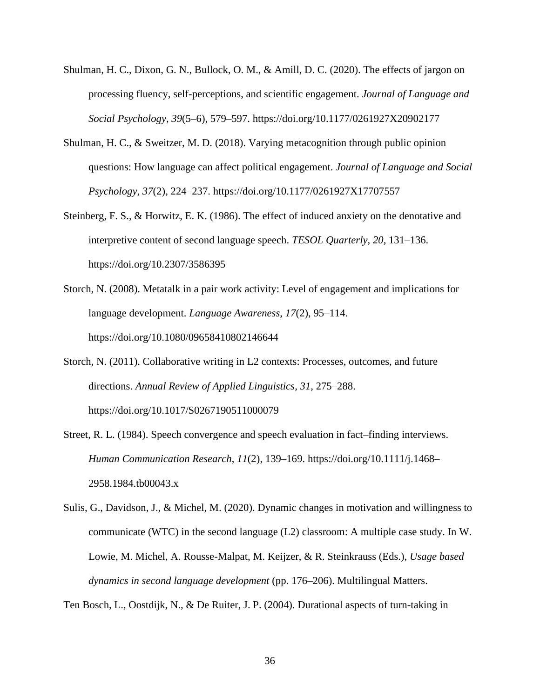- Shulman, H. C., Dixon, G. N., Bullock, O. M., & Amill, D. C. (2020). The effects of jargon on processing fluency, self-perceptions, and scientific engagement. *Journal of Language and Social Psychology*, *39*(5–6), 579–597. https://doi.org/10.1177/0261927X20902177
- Shulman, H. C., & Sweitzer, M. D. (2018). Varying metacognition through public opinion questions: How language can affect political engagement. *Journal of Language and Social Psychology*, *37*(2), 224–237. https://doi.org/10.1177/0261927X17707557
- Steinberg, F. S., & Horwitz, E. K. (1986). The effect of induced anxiety on the denotative and interpretive content of second language speech. *TESOL Quarterly*, *20*, 131–136. https://doi.org/10.2307/3586395
- Storch, N. (2008). Metatalk in a pair work activity: Level of engagement and implications for language development. *Language Awareness*, *17*(2), 95–114. https://doi.org/10.1080/09658410802146644
- Storch, N. (2011). Collaborative writing in L2 contexts: Processes, outcomes, and future directions. *Annual Review of Applied Linguistics*, *31*, 275–288. https://doi.org/10.1017/S0267190511000079
- Street, R. L. (1984). Speech convergence and speech evaluation in fact–finding interviews. *Human Communication Research*, *11*(2), 139–169. https://doi.org/10.1111/j.1468– 2958.1984.tb00043.x
- Sulis, G., Davidson, J., & Michel, M. (2020). Dynamic changes in motivation and willingness to communicate (WTC) in the second language (L2) classroom: A multiple case study. In W. Lowie, M. Michel, A. Rousse-Malpat, M. Keijzer, & R. Steinkrauss (Eds.), *Usage based dynamics in second language development* (pp. 176–206). Multilingual Matters.

Ten Bosch, L., Oostdijk, N., & De Ruiter, J. P. (2004). Durational aspects of turn-taking in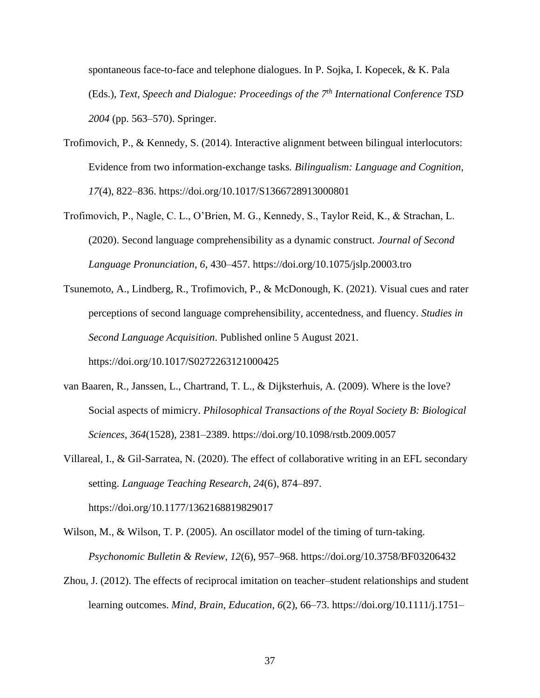spontaneous face-to-face and telephone dialogues. In P. Sojka, I. Kopecek, & K. Pala (Eds.), *Text, Speech and Dialogue: Proceedings of the 7th International Conference TSD 2004* (pp. 563–570). Springer.

- Trofimovich, P., & Kennedy, S. (2014). Interactive alignment between bilingual interlocutors: Evidence from two information-exchange tasks*. Bilingualism: Language and Cognition*, *17*(4), 822–836. https://doi.org/10.1017/S1366728913000801
- Trofimovich, P., Nagle, C. L., O'Brien, M. G., Kennedy, S., Taylor Reid, K., & Strachan, L. (2020). Second language comprehensibility as a dynamic construct. *Journal of Second Language Pronunciation*, *6*, 430–457. https://doi.org/10.1075/jslp.20003.tro
- Tsunemoto, A., Lindberg, R., Trofimovich, P., & McDonough, K. (2021). Visual cues and rater perceptions of second language comprehensibility, accentedness, and fluency. *Studies in Second Language Acquisition*. Published online 5 August 2021.

https://doi.org/10.1017/S0272263121000425

- van Baaren, R., Janssen, L., Chartrand, T. L., & Dijksterhuis, A. (2009). Where is the love? Social aspects of mimicry. *Philosophical Transactions of the Royal Society B: Biological Sciences*, *364*(1528), 2381–2389. https://doi.org/10.1098/rstb.2009.0057
- Villareal, I., & Gil-Sarratea, N. (2020). The effect of collaborative writing in an EFL secondary setting. *Language Teaching Research*, *24*(6), 874–897. https://doi.org/10.1177/1362168819829017

Wilson, M., & Wilson, T. P. (2005). An oscillator model of the timing of turn-taking. *Psychonomic Bulletin & Review*, *12*(6), 957–968. https://doi.org/10.3758/BF03206432

Zhou, J. (2012). The effects of reciprocal imitation on teacher–student relationships and student learning outcomes. *Mind, Brain, Education*, *6*(2), 66–73. https://doi.org/10.1111/j.1751–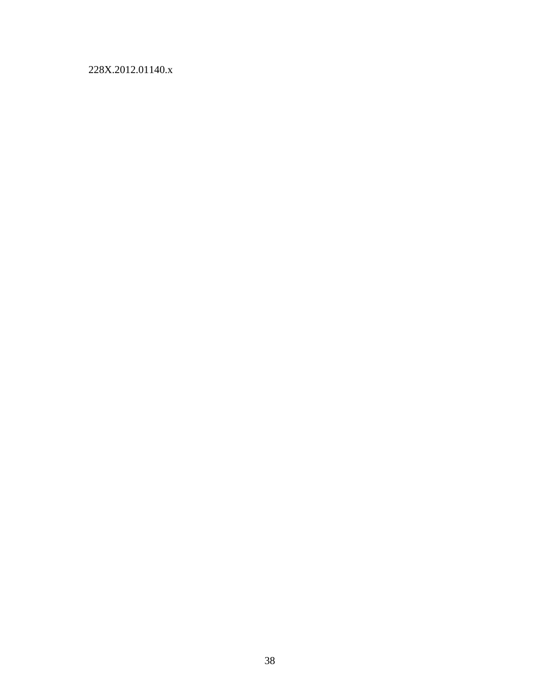## 228X.2012.01140.x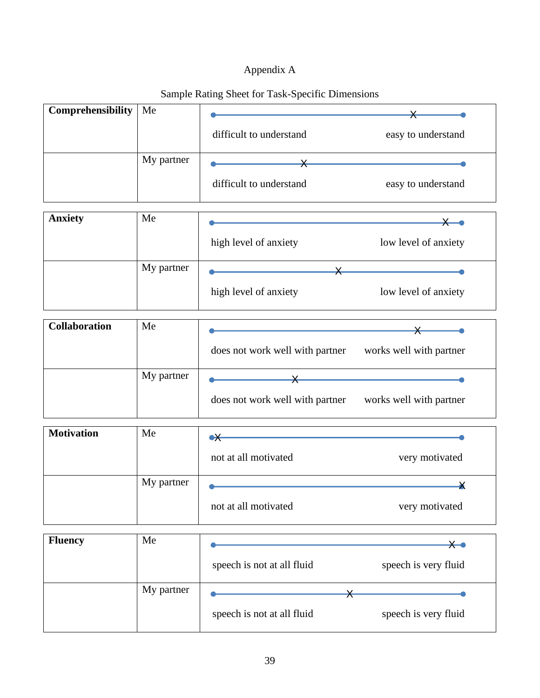## Appendix A

|                      |            | Dampic Kating Direct for Task-Specific Dimensions |                         |
|----------------------|------------|---------------------------------------------------|-------------------------|
| Comprehensibility    | Me         |                                                   |                         |
|                      |            | difficult to understand                           | easy to understand      |
|                      | My partner |                                                   |                         |
|                      |            | difficult to understand                           | easy to understand      |
|                      |            |                                                   |                         |
| <b>Anxiety</b>       | Me         |                                                   |                         |
|                      |            | high level of anxiety                             | low level of anxiety    |
|                      | My partner |                                                   |                         |
|                      |            | high level of anxiety                             | low level of anxiety    |
|                      |            |                                                   |                         |
| <b>Collaboration</b> | Me         |                                                   |                         |
|                      |            | does not work well with partner                   | works well with partner |

## Sample Rating Sheet for Task-Specific Dimensions

| My partner |                                 |                         |
|------------|---------------------------------|-------------------------|
|            | does not work well with partner | works well with partner |

| <b>Motivation</b> | Me         | $\bullet\hspace*{-1mm}\times$ |                |
|-------------------|------------|-------------------------------|----------------|
|                   |            | not at all motivated          | very motivated |
|                   | My partner |                               |                |
|                   |            | not at all motivated          | very motivated |

| <b>Fluency</b> | Me         |                            |                      |
|----------------|------------|----------------------------|----------------------|
|                |            | speech is not at all fluid | speech is very fluid |
|                | My partner |                            |                      |
|                |            | speech is not at all fluid | speech is very fluid |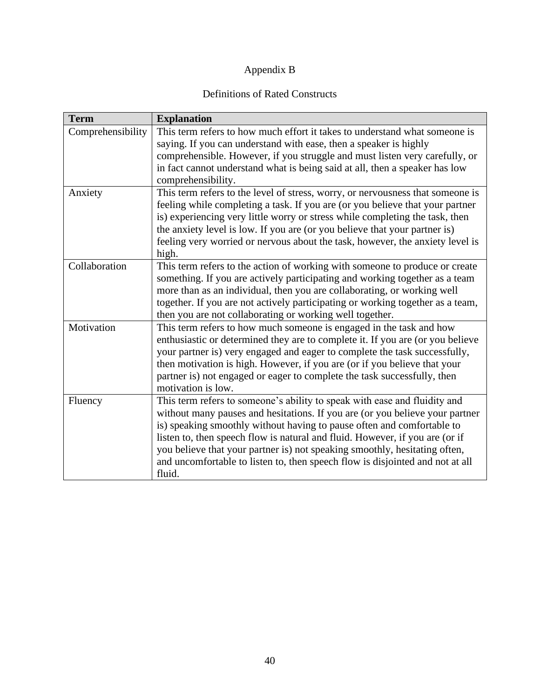## Appendix B

## Definitions of Rated Constructs

| <b>Term</b>       | <b>Explanation</b>                                                             |
|-------------------|--------------------------------------------------------------------------------|
| Comprehensibility | This term refers to how much effort it takes to understand what someone is     |
|                   | saying. If you can understand with ease, then a speaker is highly              |
|                   | comprehensible. However, if you struggle and must listen very carefully, or    |
|                   | in fact cannot understand what is being said at all, then a speaker has low    |
|                   | comprehensibility.                                                             |
| Anxiety           | This term refers to the level of stress, worry, or nervousness that someone is |
|                   | feeling while completing a task. If you are (or you believe that your partner  |
|                   | is) experiencing very little worry or stress while completing the task, then   |
|                   | the anxiety level is low. If you are (or you believe that your partner is)     |
|                   | feeling very worried or nervous about the task, however, the anxiety level is  |
|                   | high.                                                                          |
| Collaboration     | This term refers to the action of working with someone to produce or create    |
|                   | something. If you are actively participating and working together as a team    |
|                   | more than as an individual, then you are collaborating, or working well        |
|                   | together. If you are not actively participating or working together as a team, |
|                   | then you are not collaborating or working well together.                       |
| Motivation        | This term refers to how much someone is engaged in the task and how            |
|                   | enthusiastic or determined they are to complete it. If you are (or you believe |
|                   | your partner is) very engaged and eager to complete the task successfully,     |
|                   | then motivation is high. However, if you are (or if you believe that your      |
|                   | partner is) not engaged or eager to complete the task successfully, then       |
|                   | motivation is low.                                                             |
| Fluency           | This term refers to someone's ability to speak with ease and fluidity and      |
|                   | without many pauses and hesitations. If you are (or you believe your partner   |
|                   | is) speaking smoothly without having to pause often and comfortable to         |
|                   | listen to, then speech flow is natural and fluid. However, if you are (or if   |
|                   | you believe that your partner is) not speaking smoothly, hesitating often,     |
|                   | and uncomfortable to listen to, then speech flow is disjointed and not at all  |
|                   | fluid.                                                                         |